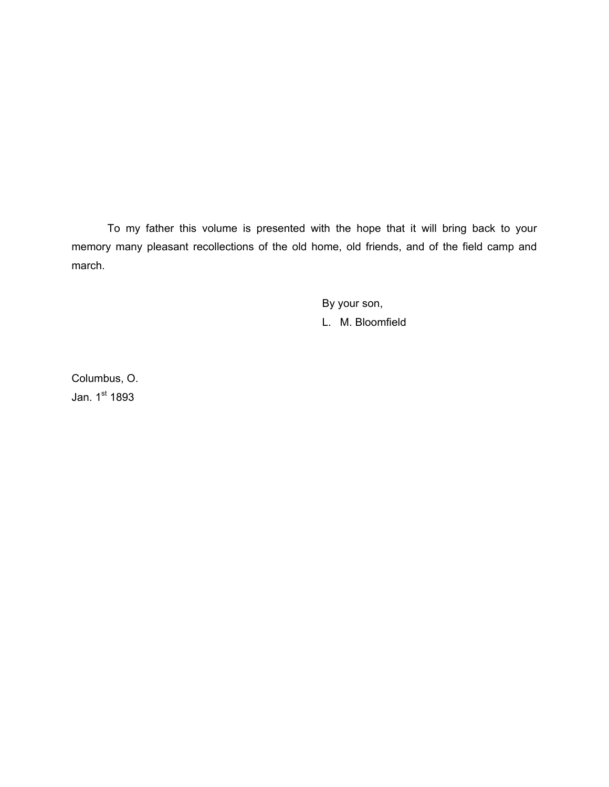To my father this volume is presented with the hope that it will bring back to your memory many pleasant recollections of the old home, old friends, and of the field camp and march.

> By your son, L. M. Bloomfield

Columbus, O. Jan. 1st 1893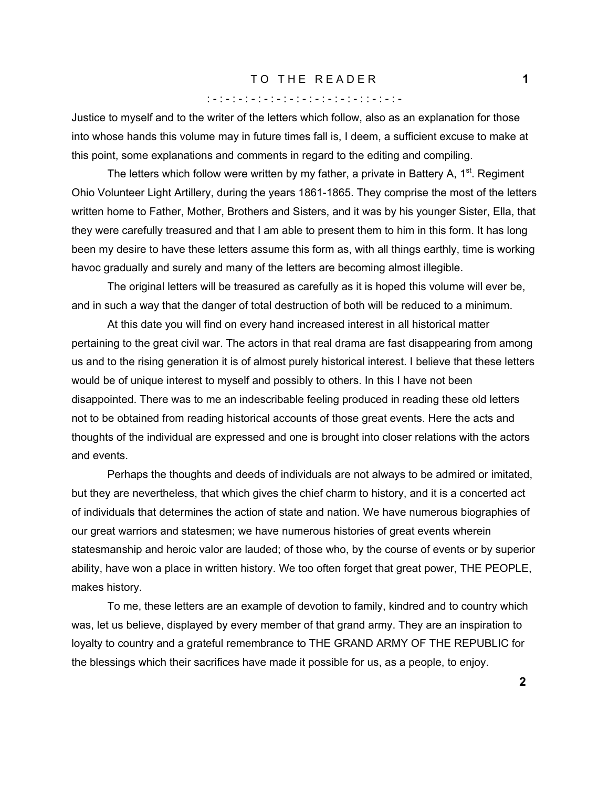# TO THE READER 1

### : - : - : - : - : - : - : - : - : - : - : - : - : : - : - : -

Justice to myself and to the writer of the letters which follow, also as an explanation for those into whose hands this volume may in future times fall is, I deem, a sufficient excuse to make at this point, some explanations and comments in regard to the editing and compiling.

The letters which follow were written by my father, a private in Battery A,  $1<sup>st</sup>$ . Regiment Ohio Volunteer Light Artillery, during the years 1861-1865. They comprise the most of the letters written home to Father, Mother, Brothers and Sisters, and it was by his younger Sister, Ella, that they were carefully treasured and that I am able to present them to him in this form. It has long been my desire to have these letters assume this form as, with all things earthly, time is working havoc gradually and surely and many of the letters are becoming almost illegible.

 The original letters will be treasured as carefully as it is hoped this volume will ever be, and in such a way that the danger of total destruction of both will be reduced to a minimum.

 At this date you will find on every hand increased interest in all historical matter pertaining to the great civil war. The actors in that real drama are fast disappearing from among us and to the rising generation it is of almost purely historical interest. I believe that these letters would be of unique interest to myself and possibly to others. In this I have not been disappointed. There was to me an indescribable feeling produced in reading these old letters not to be obtained from reading historical accounts of those great events. Here the acts and thoughts of the individual are expressed and one is brought into closer relations with the actors and events.

 Perhaps the thoughts and deeds of individuals are not always to be admired or imitated, but they are nevertheless, that which gives the chief charm to history, and it is a concerted act of individuals that determines the action of state and nation. We have numerous biographies of our great warriors and statesmen; we have numerous histories of great events wherein statesmanship and heroic valor are lauded; of those who, by the course of events or by superior ability, have won a place in written history. We too often forget that great power, THE PEOPLE, makes history.

 To me, these letters are an example of devotion to family, kindred and to country which was, let us believe, displayed by every member of that grand army. They are an inspiration to loyalty to country and a grateful remembrance to THE GRAND ARMY OF THE REPUBLIC for the blessings which their sacrifices have made it possible for us, as a people, to enjoy.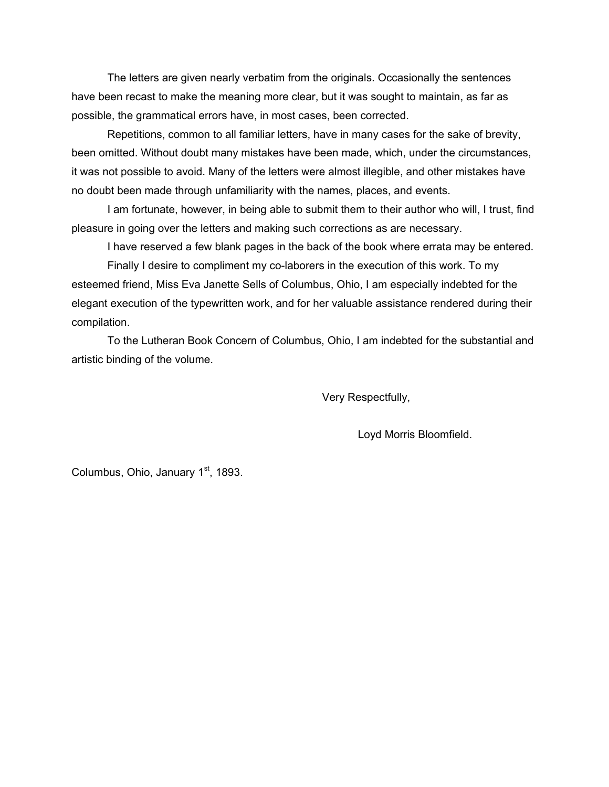The letters are given nearly verbatim from the originals. Occasionally the sentences have been recast to make the meaning more clear, but it was sought to maintain, as far as possible, the grammatical errors have, in most cases, been corrected.

Repetitions, common to all familiar letters, have in many cases for the sake of brevity, been omitted. Without doubt many mistakes have been made, which, under the circumstances, it was not possible to avoid. Many of the letters were almost illegible, and other mistakes have no doubt been made through unfamiliarity with the names, places, and events.

 I am fortunate, however, in being able to submit them to their author who will, I trust, find pleasure in going over the letters and making such corrections as are necessary.

I have reserved a few blank pages in the back of the book where errata may be entered.

 Finally I desire to compliment my co-laborers in the execution of this work. To my esteemed friend, Miss Eva Janette Sells of Columbus, Ohio, I am especially indebted for the elegant execution of the typewritten work, and for her valuable assistance rendered during their compilation.

 To the Lutheran Book Concern of Columbus, Ohio, I am indebted for the substantial and artistic binding of the volume.

Very Respectfully,

Loyd Morris Bloomfield.

Columbus, Ohio, January 1<sup>st</sup>, 1893.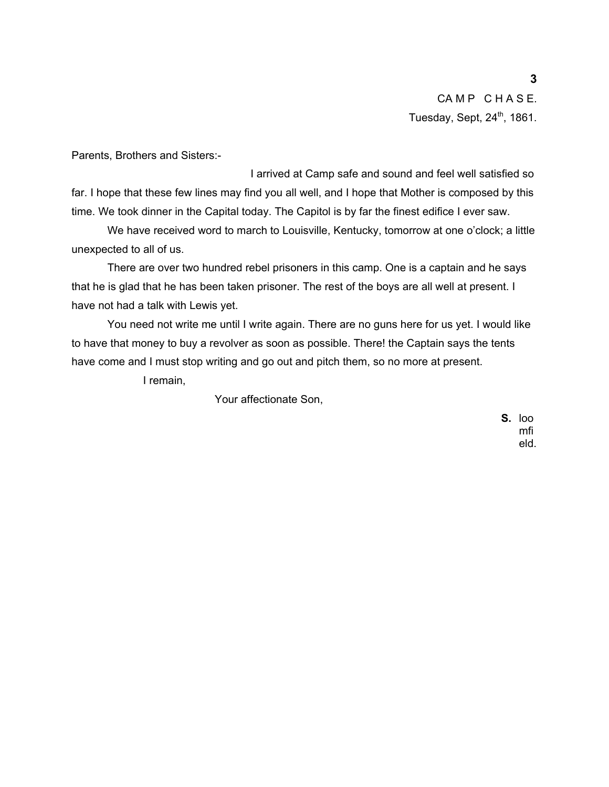Parents, Brothers and Sisters:-

 I arrived at Camp safe and sound and feel well satisfied so far. I hope that these few lines may find you all well, and I hope that Mother is composed by this time. We took dinner in the Capital today. The Capitol is by far the finest edifice I ever saw.

 We have received word to march to Louisville, Kentucky, tomorrow at one o'clock; a little unexpected to all of us.

 There are over two hundred rebel prisoners in this camp. One is a captain and he says that he is glad that he has been taken prisoner. The rest of the boys are all well at present. I have not had a talk with Lewis yet.

 You need not write me until I write again. There are no guns here for us yet. I would like to have that money to buy a revolver as soon as possible. There! the Captain says the tents have come and I must stop writing and go out and pitch them, so no more at present.

I remain,

Your affectionate Son,

**S.** loo mfi eld.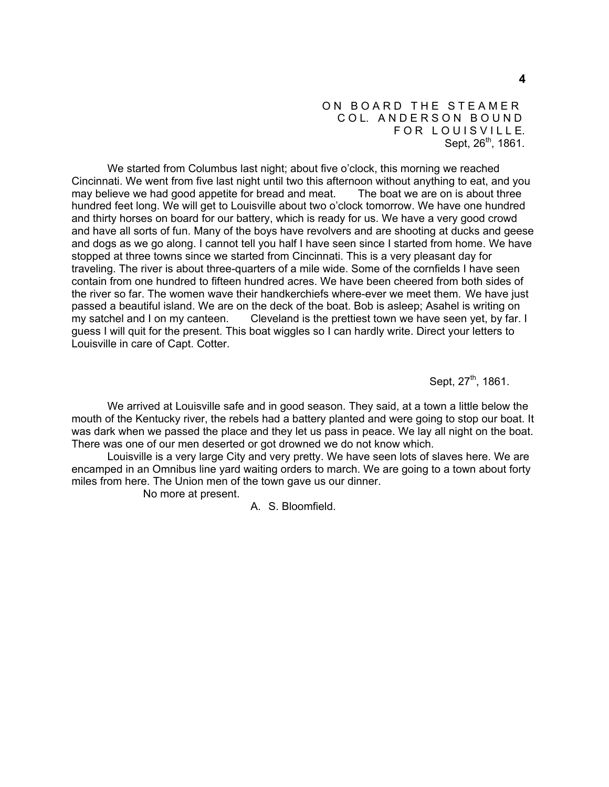ON BOARD THE STEAMER COL. ANDERSON BOUND FOR LOUISVILLE. Sept,  $26^{th}$ , 1861.

 We started from Columbus last night; about five o'clock, this morning we reached Cincinnati. We went from five last night until two this afternoon without anything to eat, and you may believe we had good appetite for bread and meat. The boat we are on is about three hundred feet long. We will get to Louisville about two o'clock tomorrow. We have one hundred and thirty horses on board for our battery, which is ready for us. We have a very good crowd and have all sorts of fun. Many of the boys have revolvers and are shooting at ducks and geese and dogs as we go along. I cannot tell you half I have seen since I started from home. We have stopped at three towns since we started from Cincinnati. This is a very pleasant day for traveling. The river is about three-quarters of a mile wide. Some of the cornfields I have seen contain from one hundred to fifteen hundred acres. We have been cheered from both sides of the river so far. The women wave their handkerchiefs where-ever we meet them. We have just passed a beautiful island. We are on the deck of the boat. Bob is asleep; Asahel is writing on my satchel and I on my canteen. Cleveland is the prettiest town we have seen yet, by far. I guess I will quit for the present. This boat wiggles so I can hardly write. Direct your letters to Louisville in care of Capt. Cotter.

Sept,  $27^{th}$ , 1861.

 We arrived at Louisville safe and in good season. They said, at a town a little below the mouth of the Kentucky river, the rebels had a battery planted and were going to stop our boat. It was dark when we passed the place and they let us pass in peace. We lay all night on the boat. There was one of our men deserted or got drowned we do not know which.

 Louisville is a very large City and very pretty. We have seen lots of slaves here. We are encamped in an Omnibus line yard waiting orders to march. We are going to a town about forty miles from here. The Union men of the town gave us our dinner.

No more at present.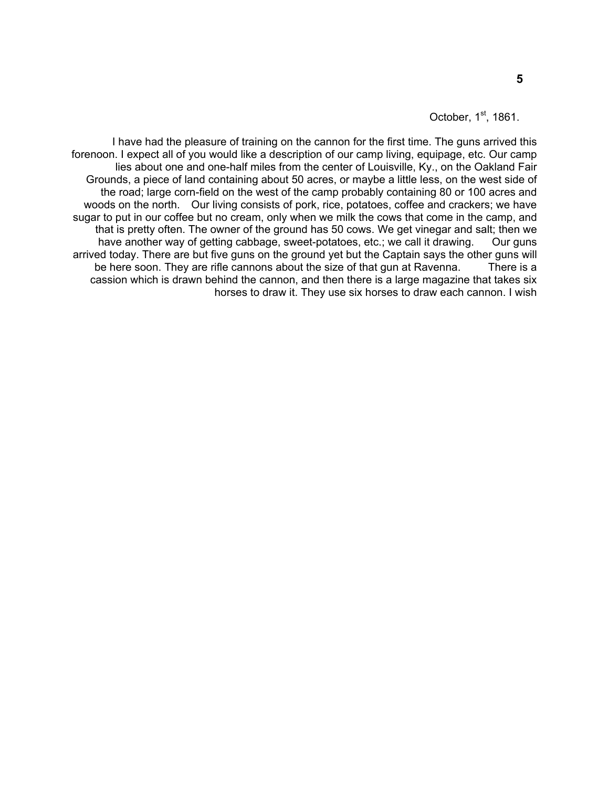October, 1st, 1861.

I have had the pleasure of training on the cannon for the first time. The guns arrived this forenoon. I expect all of you would like a description of our camp living, equipage, etc. Our camp lies about one and one-half miles from the center of Louisville, Ky., on the Oakland Fair Grounds, a piece of land containing about 50 acres, or maybe a little less, on the west side of the road; large corn-field on the west of the camp probably containing 80 or 100 acres and woods on the north. Our living consists of pork, rice, potatoes, coffee and crackers; we have sugar to put in our coffee but no cream, only when we milk the cows that come in the camp, and that is pretty often. The owner of the ground has 50 cows. We get vinegar and salt; then we have another way of getting cabbage, sweet-potatoes, etc.; we call it drawing. Our guns arrived today. There are but five guns on the ground yet but the Captain says the other guns will be here soon. They are rifle cannons about the size of that gun at Ravenna. There is a cassion which is drawn behind the cannon, and then there is a large magazine that takes six horses to draw it. They use six horses to draw each cannon. I wish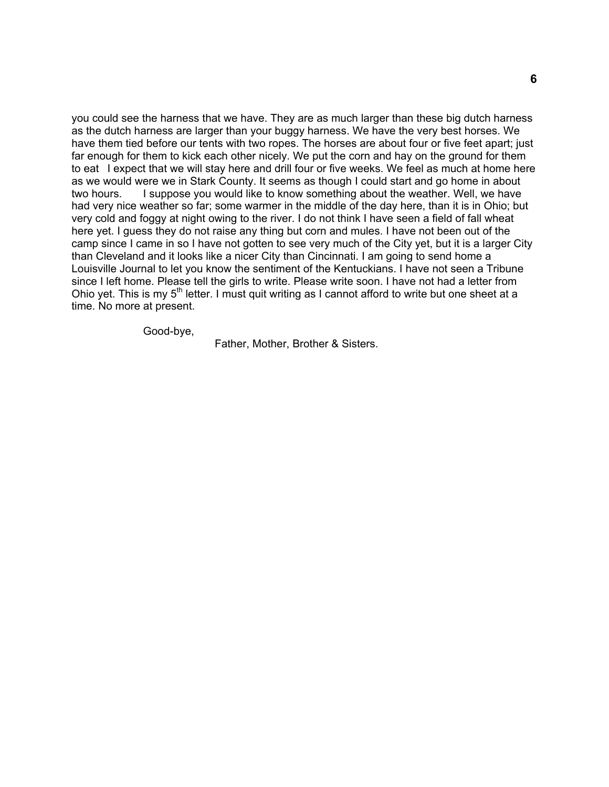you could see the harness that we have. They are as much larger than these big dutch harness as the dutch harness are larger than your buggy harness. We have the very best horses. We have them tied before our tents with two ropes. The horses are about four or five feet apart; just far enough for them to kick each other nicely. We put the corn and hay on the ground for them to eat I expect that we will stay here and drill four or five weeks. We feel as much at home here as we would were we in Stark County. It seems as though I could start and go home in about two hours. I suppose you would like to know something about the weather. Well, we have had very nice weather so far; some warmer in the middle of the day here, than it is in Ohio; but very cold and foggy at night owing to the river. I do not think I have seen a field of fall wheat here yet. I guess they do not raise any thing but corn and mules. I have not been out of the camp since I came in so I have not gotten to see very much of the City yet, but it is a larger City than Cleveland and it looks like a nicer City than Cincinnati. I am going to send home a Louisville Journal to let you know the sentiment of the Kentuckians. I have not seen a Tribune since I left home. Please tell the girls to write. Please write soon. I have not had a letter from Ohio yet. This is my 5<sup>th</sup> letter. I must quit writing as I cannot afford to write but one sheet at a time. No more at present.

Good-bye,

Father, Mother, Brother & Sisters.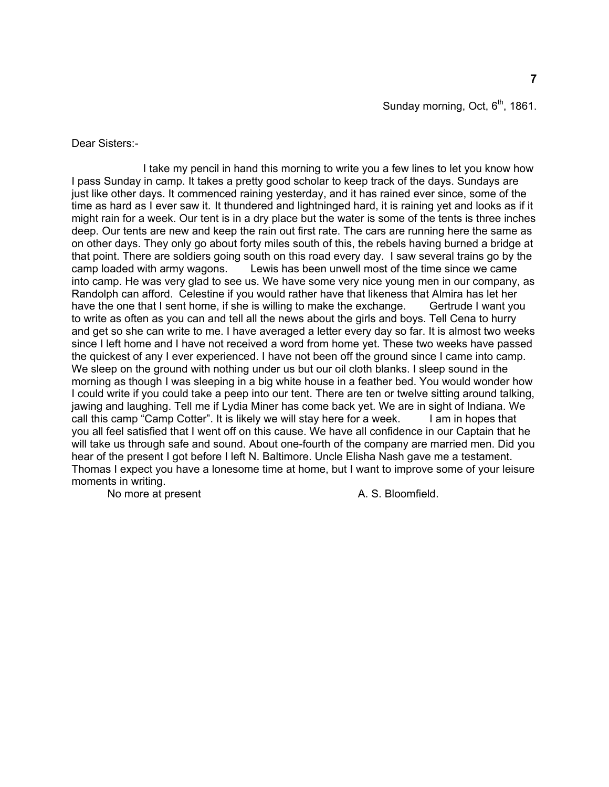Dear Sisters:-

 I take my pencil in hand this morning to write you a few lines to let you know how I pass Sunday in camp. It takes a pretty good scholar to keep track of the days. Sundays are just like other days. It commenced raining yesterday, and it has rained ever since, some of the time as hard as I ever saw it. It thundered and lightninged hard, it is raining yet and looks as if it might rain for a week. Our tent is in a dry place but the water is some of the tents is three inches deep. Our tents are new and keep the rain out first rate. The cars are running here the same as on other days. They only go about forty miles south of this, the rebels having burned a bridge at that point. There are soldiers going south on this road every day. I saw several trains go by the camp loaded with army wagons. Lewis has been unwell most of the time since we came into camp. He was very glad to see us. We have some very nice young men in our company, as Randolph can afford. Celestine if you would rather have that likeness that Almira has let her have the one that I sent home, if she is willing to make the exchange. Gertrude I want you to write as often as you can and tell all the news about the girls and boys. Tell Cena to hurry and get so she can write to me. I have averaged a letter every day so far. It is almost two weeks since I left home and I have not received a word from home yet. These two weeks have passed the quickest of any I ever experienced. I have not been off the ground since I came into camp. We sleep on the ground with nothing under us but our oil cloth blanks. I sleep sound in the morning as though I was sleeping in a big white house in a feather bed. You would wonder how I could write if you could take a peep into our tent. There are ten or twelve sitting around talking, jawing and laughing. Tell me if Lydia Miner has come back yet. We are in sight of Indiana. We call this camp "Camp Cotter". It is likely we will stay here for a week. I am in hopes that you all feel satisfied that I went off on this cause. We have all confidence in our Captain that he will take us through safe and sound. About one-fourth of the company are married men. Did you hear of the present I got before I left N. Baltimore. Uncle Elisha Nash gave me a testament. Thomas I expect you have a lonesome time at home, but I want to improve some of your leisure moments in writing.

No more at present A. S. Bloomfield.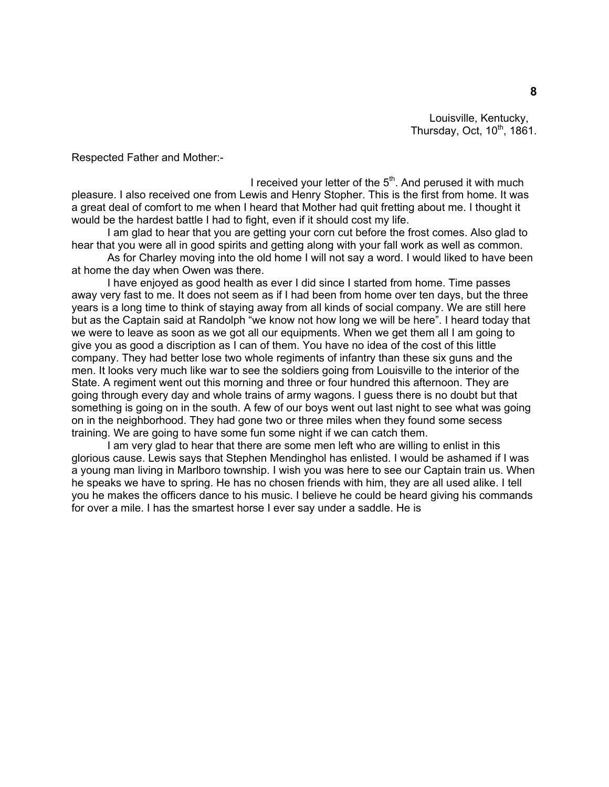Louisville, Kentucky, Thursday, Oct,  $10^{th}$ , 1861.

Respected Father and Mother:-

I received your letter of the  $5<sup>th</sup>$ . And perused it with much pleasure. I also received one from Lewis and Henry Stopher. This is the first from home. It was a great deal of comfort to me when I heard that Mother had quit fretting about me. I thought it would be the hardest battle I had to fight, even if it should cost my life.

 I am glad to hear that you are getting your corn cut before the frost comes. Also glad to hear that you were all in good spirits and getting along with your fall work as well as common.

 As for Charley moving into the old home I will not say a word. I would liked to have been at home the day when Owen was there.

 I have enjoyed as good health as ever I did since I started from home. Time passes away very fast to me. It does not seem as if I had been from home over ten days, but the three years is a long time to think of staying away from all kinds of social company. We are still here but as the Captain said at Randolph "we know not how long we will be here". I heard today that we were to leave as soon as we got all our equipments. When we get them all I am going to give you as good a discription as I can of them. You have no idea of the cost of this little company. They had better lose two whole regiments of infantry than these six guns and the men. It looks very much like war to see the soldiers going from Louisville to the interior of the State. A regiment went out this morning and three or four hundred this afternoon. They are going through every day and whole trains of army wagons. I guess there is no doubt but that something is going on in the south. A few of our boys went out last night to see what was going on in the neighborhood. They had gone two or three miles when they found some secess training. We are going to have some fun some night if we can catch them.

 I am very glad to hear that there are some men left who are willing to enlist in this glorious cause. Lewis says that Stephen Mendinghol has enlisted. I would be ashamed if I was a young man living in Marlboro township. I wish you was here to see our Captain train us. When he speaks we have to spring. He has no chosen friends with him, they are all used alike. I tell you he makes the officers dance to his music. I believe he could be heard giving his commands for over a mile. I has the smartest horse I ever say under a saddle. He is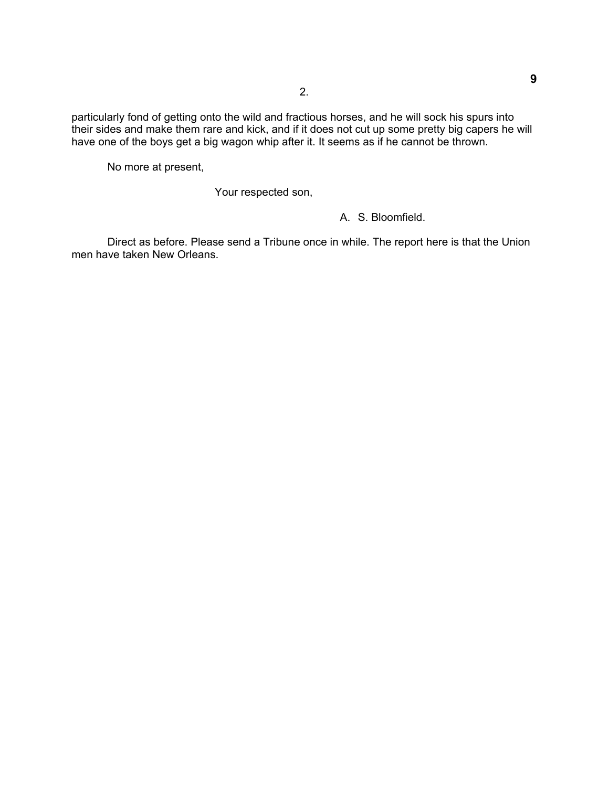particularly fond of getting onto the wild and fractious horses, and he will sock his spurs into their sides and make them rare and kick, and if it does not cut up some pretty big capers he will have one of the boys get a big wagon whip after it. It seems as if he cannot be thrown.

No more at present,

Your respected son,

### A. S. Bloomfield.

 Direct as before. Please send a Tribune once in while. The report here is that the Union men have taken New Orleans.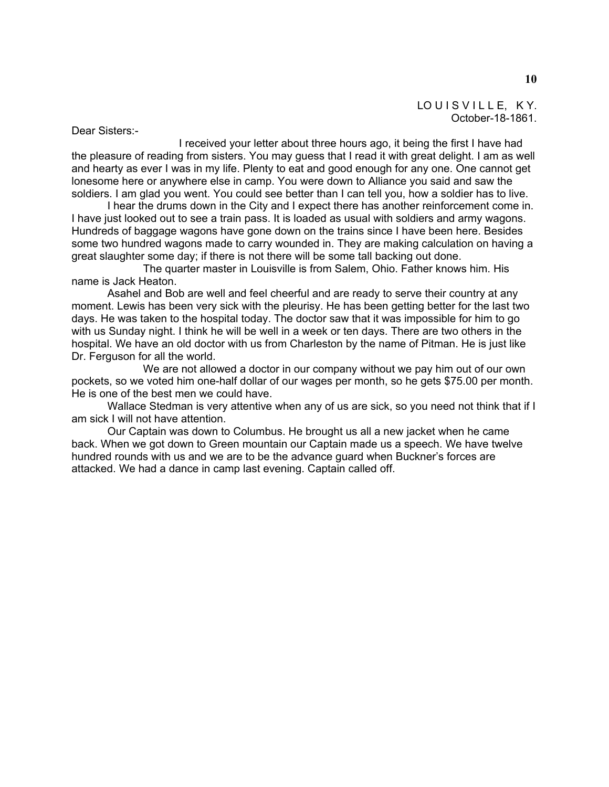Dear Sisters:-

 I received your letter about three hours ago, it being the first I have had the pleasure of reading from sisters. You may guess that I read it with great delight. I am as well and hearty as ever I was in my life. Plenty to eat and good enough for any one. One cannot get lonesome here or anywhere else in camp. You were down to Alliance you said and saw the soldiers. I am glad you went. You could see better than I can tell you, how a soldier has to live.

 I hear the drums down in the City and I expect there has another reinforcement come in. I have just looked out to see a train pass. It is loaded as usual with soldiers and army wagons. Hundreds of baggage wagons have gone down on the trains since I have been here. Besides some two hundred wagons made to carry wounded in. They are making calculation on having a great slaughter some day; if there is not there will be some tall backing out done.

 The quarter master in Louisville is from Salem, Ohio. Father knows him. His name is Jack Heaton.

 Asahel and Bob are well and feel cheerful and are ready to serve their country at any moment. Lewis has been very sick with the pleurisy. He has been getting better for the last two days. He was taken to the hospital today. The doctor saw that it was impossible for him to go with us Sunday night. I think he will be well in a week or ten days. There are two others in the hospital. We have an old doctor with us from Charleston by the name of Pitman. He is just like Dr. Ferguson for all the world.

 We are not allowed a doctor in our company without we pay him out of our own pockets, so we voted him one-half dollar of our wages per month, so he gets \$75.00 per month. He is one of the best men we could have.

 Wallace Stedman is very attentive when any of us are sick, so you need not think that if I am sick I will not have attention.

 Our Captain was down to Columbus. He brought us all a new jacket when he came back. When we got down to Green mountain our Captain made us a speech. We have twelve hundred rounds with us and we are to be the advance guard when Buckner's forces are attacked. We had a dance in camp last evening. Captain called off.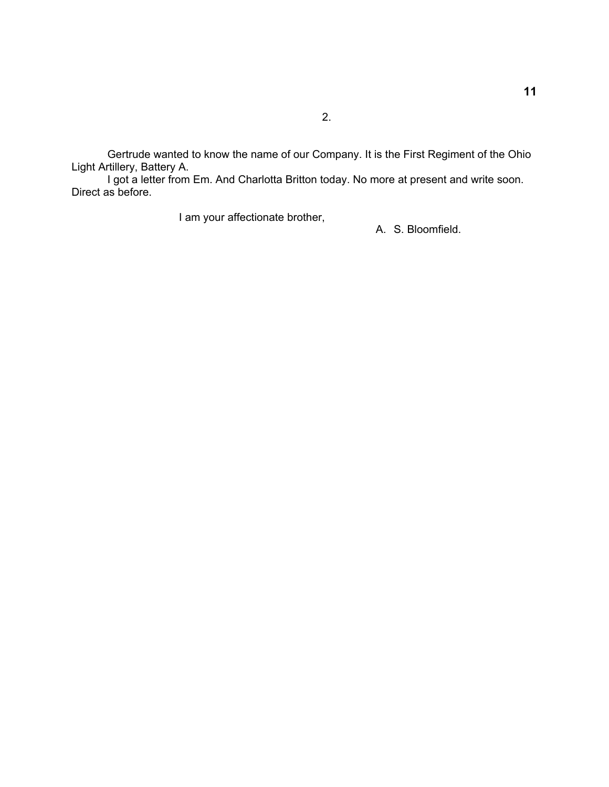Gertrude wanted to know the name of our Company. It is the First Regiment of the Ohio Light Artillery, Battery A.

I got a letter from Em. And Charlotta Britton today. No more at present and write soon. Direct as before.

I am your affectionate brother,

 $2.$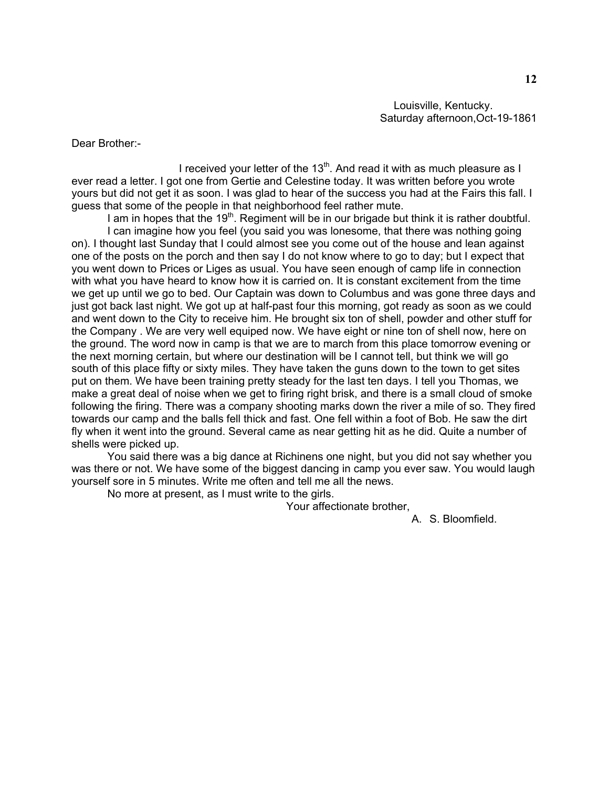Dear Brother:-

I received your letter of the  $13<sup>th</sup>$ . And read it with as much pleasure as I ever read a letter. I got one from Gertie and Celestine today. It was written before you wrote yours but did not get it as soon. I was glad to hear of the success you had at the Fairs this fall. I guess that some of the people in that neighborhood feel rather mute.

I am in hopes that the  $19<sup>th</sup>$ . Regiment will be in our brigade but think it is rather doubtful. I can imagine how you feel (you said you was lonesome, that there was nothing going on). I thought last Sunday that I could almost see you come out of the house and lean against one of the posts on the porch and then say I do not know where to go to day; but I expect that you went down to Prices or Liges as usual. You have seen enough of camp life in connection with what you have heard to know how it is carried on. It is constant excitement from the time we get up until we go to bed. Our Captain was down to Columbus and was gone three days and just got back last night. We got up at half-past four this morning, got ready as soon as we could and went down to the City to receive him. He brought six ton of shell, powder and other stuff for the Company . We are very well equiped now. We have eight or nine ton of shell now, here on the ground. The word now in camp is that we are to march from this place tomorrow evening or the next morning certain, but where our destination will be I cannot tell, but think we will go south of this place fifty or sixty miles. They have taken the guns down to the town to get sites put on them. We have been training pretty steady for the last ten days. I tell you Thomas, we make a great deal of noise when we get to firing right brisk, and there is a small cloud of smoke following the firing. There was a company shooting marks down the river a mile of so. They fired towards our camp and the balls fell thick and fast. One fell within a foot of Bob. He saw the dirt fly when it went into the ground. Several came as near getting hit as he did. Quite a number of shells were picked up.

 You said there was a big dance at Richinens one night, but you did not say whether you was there or not. We have some of the biggest dancing in camp you ever saw. You would laugh yourself sore in 5 minutes. Write me often and tell me all the news.

No more at present, as I must write to the girls.

Your affectionate brother,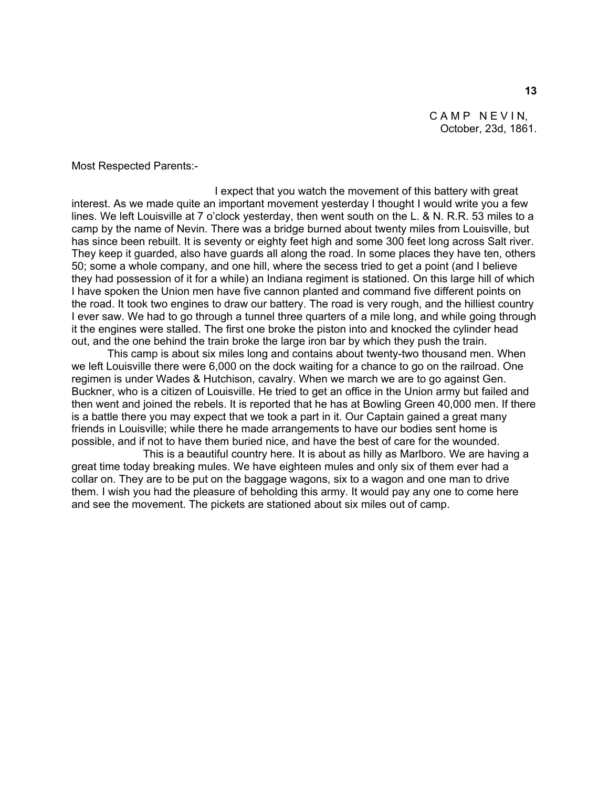CAMP NEVIN, October, 23d, 1861.

Most Respected Parents:-

 I expect that you watch the movement of this battery with great interest. As we made quite an important movement yesterday I thought I would write you a few lines. We left Louisville at 7 o'clock yesterday, then went south on the L. & N. R.R. 53 miles to a camp by the name of Nevin. There was a bridge burned about twenty miles from Louisville, but has since been rebuilt. It is seventy or eighty feet high and some 300 feet long across Salt river. They keep it guarded, also have guards all along the road. In some places they have ten, others 50; some a whole company, and one hill, where the secess tried to get a point (and I believe they had possession of it for a while) an Indiana regiment is stationed. On this large hill of which I have spoken the Union men have five cannon planted and command five different points on the road. It took two engines to draw our battery. The road is very rough, and the hilliest country I ever saw. We had to go through a tunnel three quarters of a mile long, and while going through it the engines were stalled. The first one broke the piston into and knocked the cylinder head out, and the one behind the train broke the large iron bar by which they push the train.

 This camp is about six miles long and contains about twenty-two thousand men. When we left Louisville there were 6,000 on the dock waiting for a chance to go on the railroad. One regimen is under Wades & Hutchison, cavalry. When we march we are to go against Gen. Buckner, who is a citizen of Louisville. He tried to get an office in the Union army but failed and then went and joined the rebels. It is reported that he has at Bowling Green 40,000 men. If there is a battle there you may expect that we took a part in it. Our Captain gained a great many friends in Louisville; while there he made arrangements to have our bodies sent home is possible, and if not to have them buried nice, and have the best of care for the wounded.

 This is a beautiful country here. It is about as hilly as Marlboro. We are having a great time today breaking mules. We have eighteen mules and only six of them ever had a collar on. They are to be put on the baggage wagons, six to a wagon and one man to drive them. I wish you had the pleasure of beholding this army. It would pay any one to come here and see the movement. The pickets are stationed about six miles out of camp.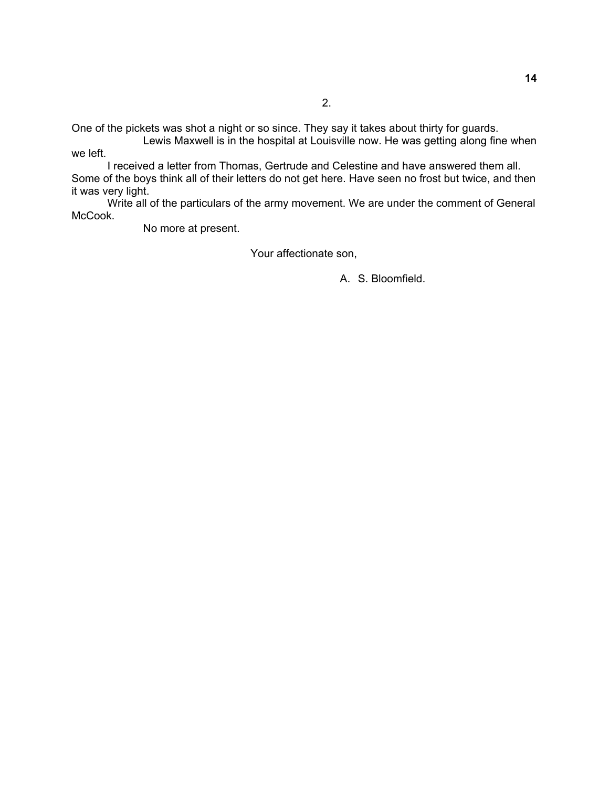One of the pickets was shot a night or so since. They say it takes about thirty for guards.

 Lewis Maxwell is in the hospital at Louisville now. He was getting along fine when we left.

 I received a letter from Thomas, Gertrude and Celestine and have answered them all. Some of the boys think all of their letters do not get here. Have seen no frost but twice, and then it was very light.

 Write all of the particulars of the army movement. We are under the comment of General McCook.

No more at present.

Your affectionate son,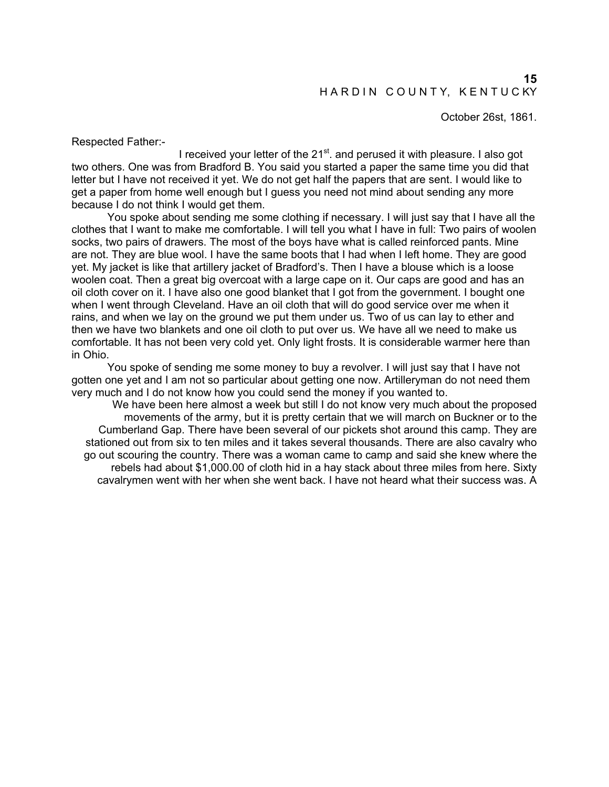October 26st, 1861.

Respected Father:-

I received your letter of the 21<sup>st</sup>. and perused it with pleasure. I also got two others. One was from Bradford B. You said you started a paper the same time you did that letter but I have not received it yet. We do not get half the papers that are sent. I would like to get a paper from home well enough but I guess you need not mind about sending any more because I do not think I would get them.

 You spoke about sending me some clothing if necessary. I will just say that I have all the clothes that I want to make me comfortable. I will tell you what I have in full: Two pairs of woolen socks, two pairs of drawers. The most of the boys have what is called reinforced pants. Mine are not. They are blue wool. I have the same boots that I had when I left home. They are good yet. My jacket is like that artillery jacket of Bradford's. Then I have a blouse which is a loose woolen coat. Then a great big overcoat with a large cape on it. Our caps are good and has an oil cloth cover on it. I have also one good blanket that I got from the government. I bought one when I went through Cleveland. Have an oil cloth that will do good service over me when it rains, and when we lay on the ground we put them under us. Two of us can lay to ether and then we have two blankets and one oil cloth to put over us. We have all we need to make us comfortable. It has not been very cold yet. Only light frosts. It is considerable warmer here than in Ohio.

 You spoke of sending me some money to buy a revolver. I will just say that I have not gotten one yet and I am not so particular about getting one now. Artilleryman do not need them very much and I do not know how you could send the money if you wanted to.

 We have been here almost a week but still I do not know very much about the proposed movements of the army, but it is pretty certain that we will march on Buckner or to the Cumberland Gap. There have been several of our pickets shot around this camp. They are stationed out from six to ten miles and it takes several thousands. There are also cavalry who go out scouring the country. There was a woman came to camp and said she knew where the rebels had about \$1,000.00 of cloth hid in a hay stack about three miles from here. Sixty cavalrymen went with her when she went back. I have not heard what their success was. A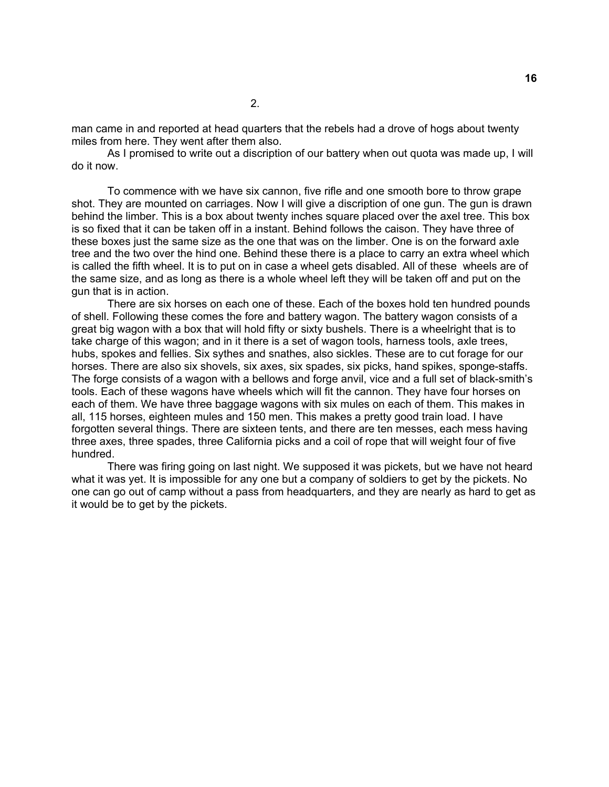man came in and reported at head quarters that the rebels had a drove of hogs about twenty miles from here. They went after them also.

 As I promised to write out a discription of our battery when out quota was made up, I will do it now.

 To commence with we have six cannon, five rifle and one smooth bore to throw grape shot. They are mounted on carriages. Now I will give a discription of one gun. The gun is drawn behind the limber. This is a box about twenty inches square placed over the axel tree. This box is so fixed that it can be taken off in a instant. Behind follows the caison. They have three of these boxes just the same size as the one that was on the limber. One is on the forward axle tree and the two over the hind one. Behind these there is a place to carry an extra wheel which is called the fifth wheel. It is to put on in case a wheel gets disabled. All of these wheels are of the same size, and as long as there is a whole wheel left they will be taken off and put on the gun that is in action.

There are six horses on each one of these. Each of the boxes hold ten hundred pounds of shell. Following these comes the fore and battery wagon. The battery wagon consists of a great big wagon with a box that will hold fifty or sixty bushels. There is a wheelright that is to take charge of this wagon; and in it there is a set of wagon tools, harness tools, axle trees, hubs, spokes and fellies. Six sythes and snathes, also sickles. These are to cut forage for our horses. There are also six shovels, six axes, six spades, six picks, hand spikes, sponge-staffs. The forge consists of a wagon with a bellows and forge anvil, vice and a full set of black-smith's tools. Each of these wagons have wheels which will fit the cannon. They have four horses on each of them. We have three baggage wagons with six mules on each of them. This makes in all, 115 horses, eighteen mules and 150 men. This makes a pretty good train load. I have forgotten several things. There are sixteen tents, and there are ten messes, each mess having three axes, three spades, three California picks and a coil of rope that will weight four of five hundred.

 There was firing going on last night. We supposed it was pickets, but we have not heard what it was yet. It is impossible for any one but a company of soldiers to get by the pickets. No one can go out of camp without a pass from headquarters, and they are nearly as hard to get as it would be to get by the pickets.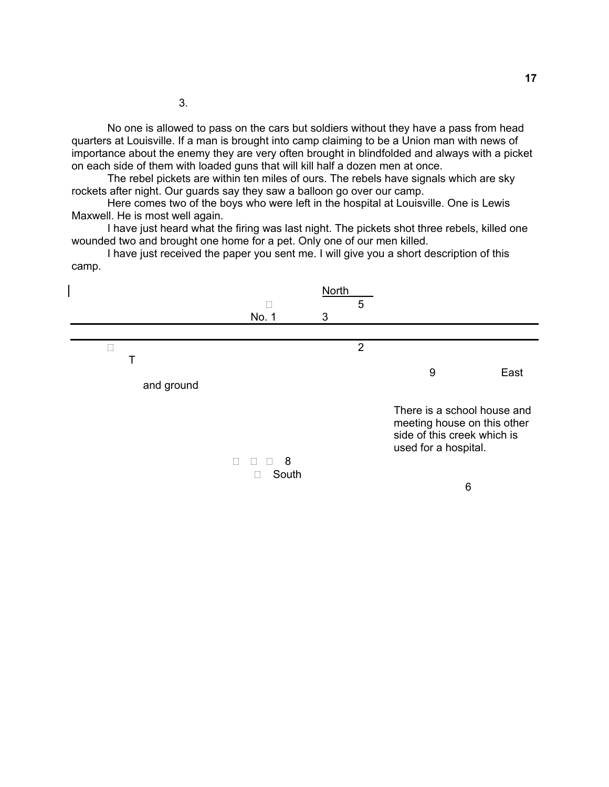No one is allowed to pass on the cars but soldiers without they have a pass from head quarters at Louisville. If a man is brought into camp claiming to be a Union man with news of importance about the enemy they are very often brought in blindfolded and always with a picket on each side of them with loaded guns that will kill half a dozen men at once.

**17** 

 The rebel pickets are within ten miles of ours. The rebels have signals which are sky rockets after night. Our guards say they saw a balloon go over our camp.

 Here comes two of the boys who were left in the hospital at Louisville. One is Lewis Maxwell. He is most well again.

 I have just heard what the firing was last night. The pickets shot three rebels, killed one wounded two and brought one home for a pet. Only one of our men killed.

 I have just received the paper you sent me. I will give you a short description of this camp.

|            | <b>North</b> |   |                |                                                                                                                   |      |  |
|------------|--------------|---|----------------|-------------------------------------------------------------------------------------------------------------------|------|--|
|            |              |   | 5              |                                                                                                                   |      |  |
|            | No. 1        | 3 |                |                                                                                                                   |      |  |
|            |              |   |                |                                                                                                                   |      |  |
|            |              |   | $\overline{2}$ |                                                                                                                   |      |  |
|            |              |   |                |                                                                                                                   |      |  |
|            |              |   |                | 9                                                                                                                 | East |  |
| and ground |              |   |                |                                                                                                                   |      |  |
|            |              |   |                | There is a school house and<br>meeting house on this other<br>side of this creek which is<br>used for a hospital. |      |  |
|            | -8           |   |                |                                                                                                                   |      |  |
|            | South        |   |                |                                                                                                                   |      |  |
|            |              |   |                | 6                                                                                                                 |      |  |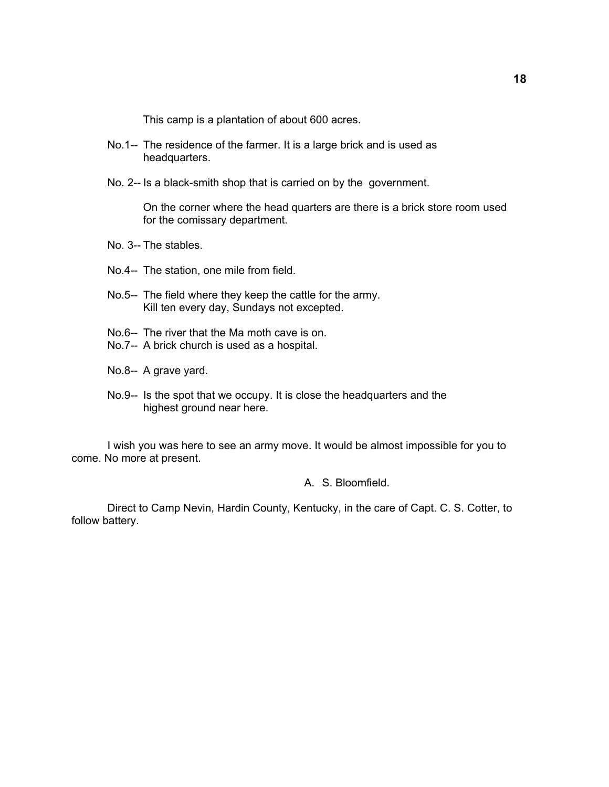This camp is a plantation of about 600 acres.

- No.1-- The residence of the farmer. It is a large brick and is used as headquarters.
- No. 2-- Is a black-smith shop that is carried on by the government.

On the corner where the head quarters are there is a brick store room used for the comissary department.

- No. 3-- The stables.
- No.4-- The station, one mile from field.
- No.5-- The field where they keep the cattle for the army. Kill ten every day, Sundays not excepted.
- No.6-- The river that the Ma moth cave is on.
- No.7-- A brick church is used as a hospital.
- No.8-- A grave yard.
- No.9-- Is the spot that we occupy. It is close the headquarters and the highest ground near here.

 I wish you was here to see an army move. It would be almost impossible for you to come. No more at present.

A. S. Bloomfield.

 Direct to Camp Nevin, Hardin County, Kentucky, in the care of Capt. C. S. Cotter, to follow battery.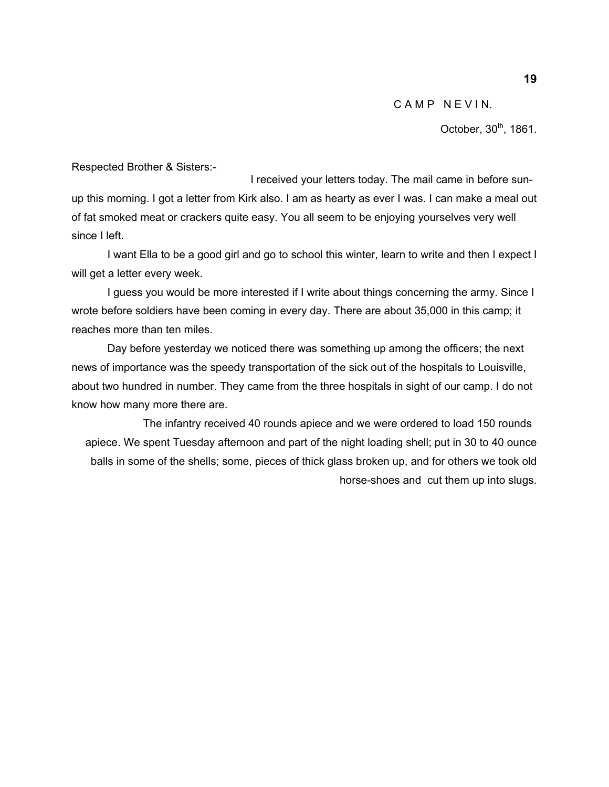CAMP NEVIN.

October, 30<sup>th</sup>, 1861.

Respected Brother & Sisters:-

 I received your letters today. The mail came in before sunup this morning. I got a letter from Kirk also. I am as hearty as ever I was. I can make a meal out of fat smoked meat or crackers quite easy. You all seem to be enjoying yourselves very well since I left.

 I want Ella to be a good girl and go to school this winter, learn to write and then I expect I will get a letter every week.

 I guess you would be more interested if I write about things concerning the army. Since I wrote before soldiers have been coming in every day. There are about 35,000 in this camp; it reaches more than ten miles.

 Day before yesterday we noticed there was something up among the officers; the next news of importance was the speedy transportation of the sick out of the hospitals to Louisville, about two hundred in number. They came from the three hospitals in sight of our camp. I do not know how many more there are.

 The infantry received 40 rounds apiece and we were ordered to load 150 rounds apiece. We spent Tuesday afternoon and part of the night loading shell; put in 30 to 40 ounce balls in some of the shells; some, pieces of thick glass broken up, and for others we took old horse-shoes and cut them up into slugs.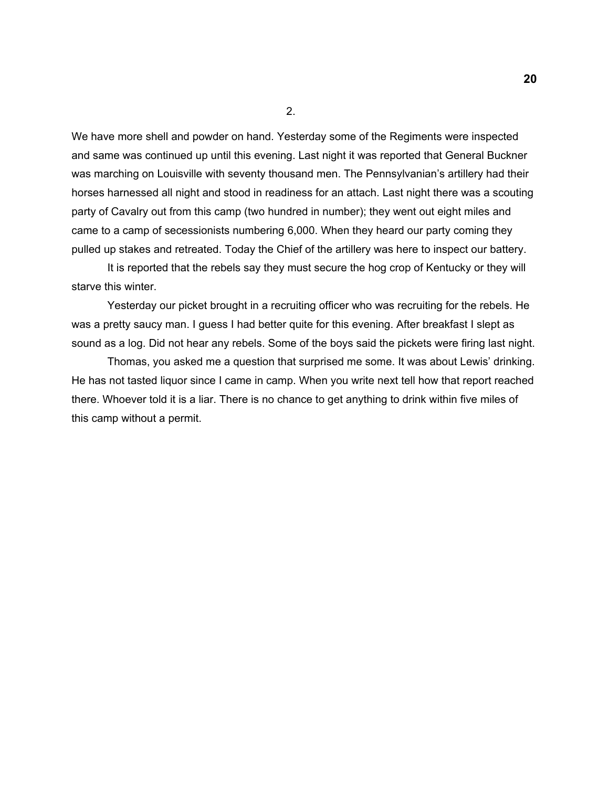We have more shell and powder on hand. Yesterday some of the Regiments were inspected and same was continued up until this evening. Last night it was reported that General Buckner was marching on Louisville with seventy thousand men. The Pennsylvanian's artillery had their horses harnessed all night and stood in readiness for an attach. Last night there was a scouting party of Cavalry out from this camp (two hundred in number); they went out eight miles and came to a camp of secessionists numbering 6,000. When they heard our party coming they pulled up stakes and retreated. Today the Chief of the artillery was here to inspect our battery.

 It is reported that the rebels say they must secure the hog crop of Kentucky or they will starve this winter.

 Yesterday our picket brought in a recruiting officer who was recruiting for the rebels. He was a pretty saucy man. I guess I had better quite for this evening. After breakfast I slept as sound as a log. Did not hear any rebels. Some of the boys said the pickets were firing last night.

 Thomas, you asked me a question that surprised me some. It was about Lewis' drinking. He has not tasted liquor since I came in camp. When you write next tell how that report reached there. Whoever told it is a liar. There is no chance to get anything to drink within five miles of this camp without a permit.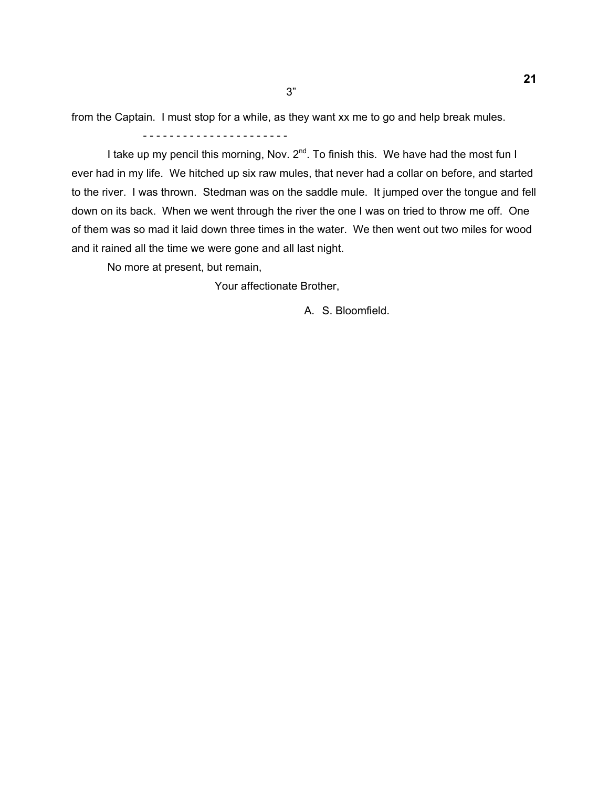3"

from the Captain. I must stop for a while, as they want xx me to go and help break mules.

- - - - - - - - - - - - - - - - - - - - - -

I take up my pencil this morning, Nov.  $2^{nd}$ . To finish this. We have had the most fun I ever had in my life. We hitched up six raw mules, that never had a collar on before, and started to the river. I was thrown. Stedman was on the saddle mule. It jumped over the tongue and fell down on its back. When we went through the river the one I was on tried to throw me off. One of them was so mad it laid down three times in the water. We then went out two miles for wood and it rained all the time we were gone and all last night.

No more at present, but remain,

Your affectionate Brother,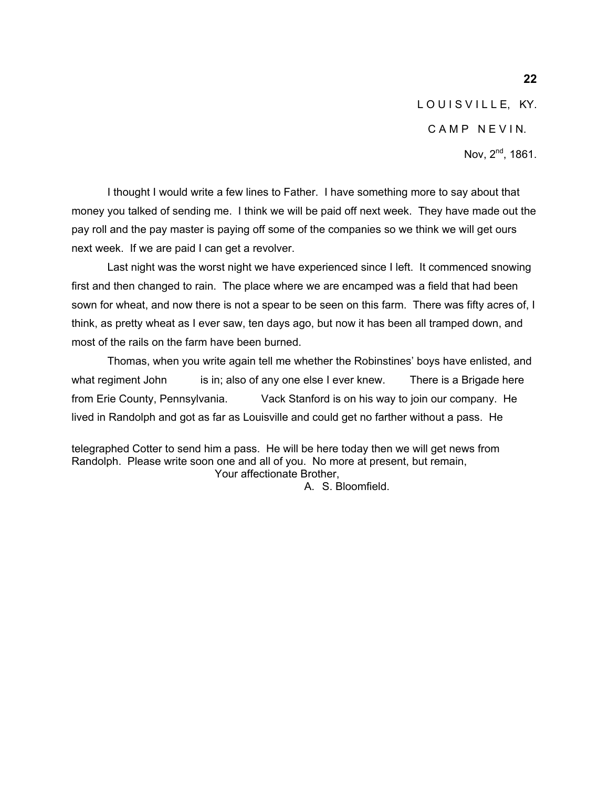# LOUISVILLE, KY. CAMP NEVIN. Nov. 2<sup>nd</sup>, 1861.

 I thought I would write a few lines to Father. I have something more to say about that money you talked of sending me. I think we will be paid off next week. They have made out the pay roll and the pay master is paying off some of the companies so we think we will get ours next week. If we are paid I can get a revolver.

 Last night was the worst night we have experienced since I left. It commenced snowing first and then changed to rain. The place where we are encamped was a field that had been sown for wheat, and now there is not a spear to be seen on this farm. There was fifty acres of, I think, as pretty wheat as I ever saw, ten days ago, but now it has been all tramped down, and most of the rails on the farm have been burned.

 Thomas, when you write again tell me whether the Robinstines' boys have enlisted, and what regiment John is in; also of any one else I ever knew. There is a Brigade here from Erie County, Pennsylvania. Vack Stanford is on his way to join our company. He lived in Randolph and got as far as Louisville and could get no farther without a pass. He

telegraphed Cotter to send him a pass. He will be here today then we will get news from Randolph. Please write soon one and all of you. No more at present, but remain, Your affectionate Brother,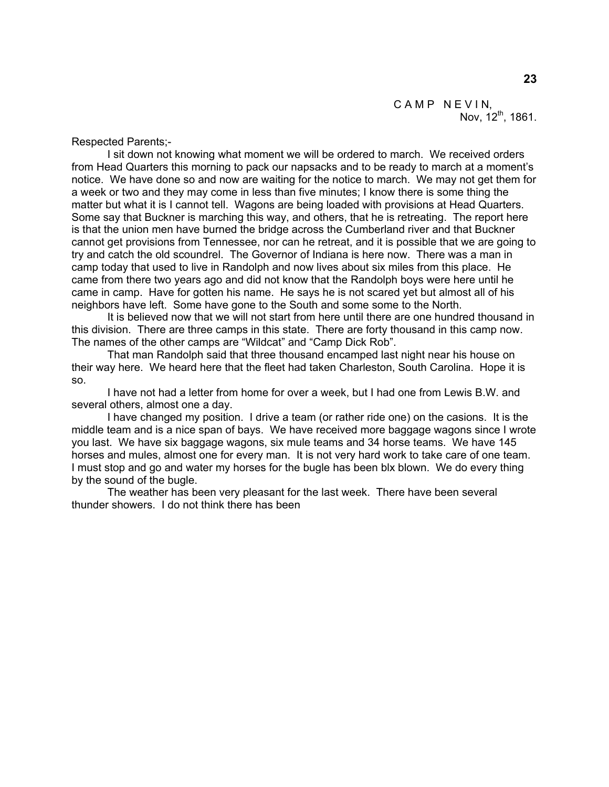CAMP NEVIN, Nov. 12<sup>th</sup>, 1861.

Respected Parents;-

 I sit down not knowing what moment we will be ordered to march. We received orders from Head Quarters this morning to pack our napsacks and to be ready to march at a moment's notice. We have done so and now are waiting for the notice to march. We may not get them for a week or two and they may come in less than five minutes; I know there is some thing the matter but what it is I cannot tell. Wagons are being loaded with provisions at Head Quarters. Some say that Buckner is marching this way, and others, that he is retreating. The report here is that the union men have burned the bridge across the Cumberland river and that Buckner cannot get provisions from Tennessee, nor can he retreat, and it is possible that we are going to try and catch the old scoundrel. The Governor of Indiana is here now. There was a man in camp today that used to live in Randolph and now lives about six miles from this place. He came from there two years ago and did not know that the Randolph boys were here until he came in camp. Have for gotten his name. He says he is not scared yet but almost all of his neighbors have left. Some have gone to the South and some some to the North.

 It is believed now that we will not start from here until there are one hundred thousand in this division. There are three camps in this state. There are forty thousand in this camp now. The names of the other camps are "Wildcat" and "Camp Dick Rob".

 That man Randolph said that three thousand encamped last night near his house on their way here. We heard here that the fleet had taken Charleston, South Carolina. Hope it is so.

 I have not had a letter from home for over a week, but I had one from Lewis B.W. and several others, almost one a day.

 I have changed my position. I drive a team (or rather ride one) on the casions. It is the middle team and is a nice span of bays. We have received more baggage wagons since I wrote you last. We have six baggage wagons, six mule teams and 34 horse teams. We have 145 horses and mules, almost one for every man. It is not very hard work to take care of one team. I must stop and go and water my horses for the bugle has been blx blown. We do every thing by the sound of the bugle.

 The weather has been very pleasant for the last week. There have been several thunder showers. I do not think there has been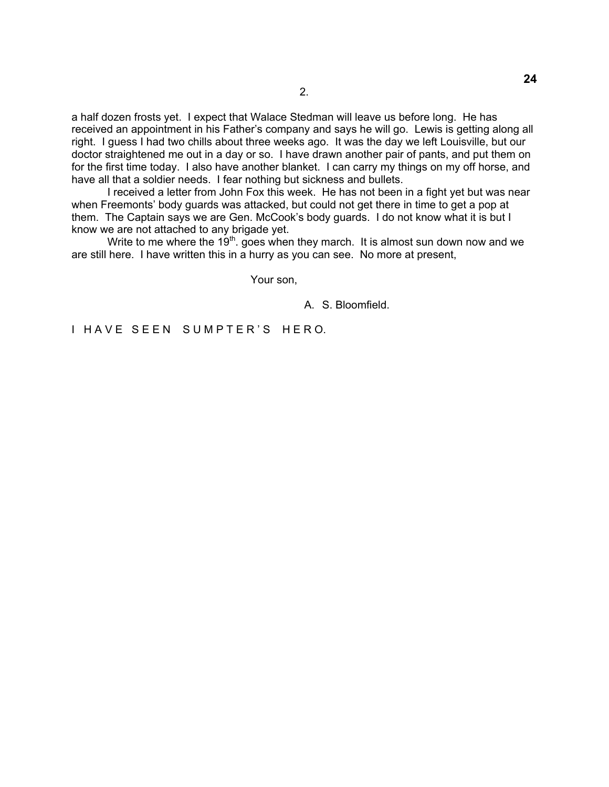a half dozen frosts yet. I expect that Walace Stedman will leave us before long. He has received an appointment in his Father's company and says he will go. Lewis is getting along all right. I guess I had two chills about three weeks ago. It was the day we left Louisville, but our doctor straightened me out in a day or so. I have drawn another pair of pants, and put them on for the first time today. I also have another blanket. I can carry my things on my off horse, and have all that a soldier needs. I fear nothing but sickness and bullets.

 I received a letter from John Fox this week. He has not been in a fight yet but was near when Freemonts' body guards was attacked, but could not get there in time to get a pop at them. The Captain says we are Gen. McCook's body guards. I do not know what it is but I know we are not attached to any brigade yet.

Write to me where the  $19<sup>th</sup>$ . goes when they march. It is almost sun down now and we are still here. I have written this in a hurry as you can see. No more at present,

Your son,

A. S. Bloomfield.

I HAVE SEEN SUMPTER'S HERO.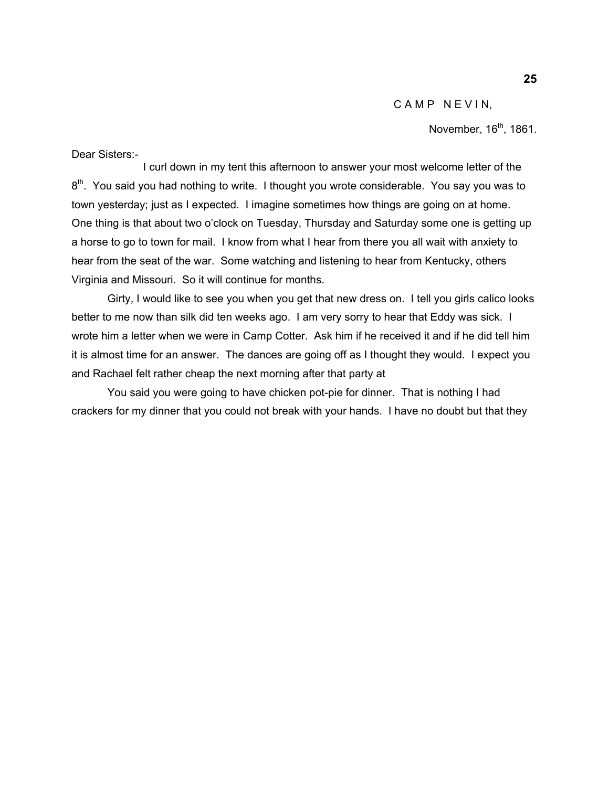CAMP NEVIN,

November,  $16<sup>th</sup>$ , 1861.

Dear Sisters:-

 I curl down in my tent this afternoon to answer your most welcome letter of the 8<sup>th</sup>. You said you had nothing to write. I thought you wrote considerable. You say you was to town yesterday; just as I expected. I imagine sometimes how things are going on at home. One thing is that about two o'clock on Tuesday, Thursday and Saturday some one is getting up a horse to go to town for mail. I know from what I hear from there you all wait with anxiety to hear from the seat of the war. Some watching and listening to hear from Kentucky, others Virginia and Missouri. So it will continue for months.

 Girty, I would like to see you when you get that new dress on. I tell you girls calico looks better to me now than silk did ten weeks ago. I am very sorry to hear that Eddy was sick. I wrote him a letter when we were in Camp Cotter. Ask him if he received it and if he did tell him it is almost time for an answer. The dances are going off as I thought they would. I expect you and Rachael felt rather cheap the next morning after that party at

 You said you were going to have chicken pot-pie for dinner. That is nothing I had crackers for my dinner that you could not break with your hands. I have no doubt but that they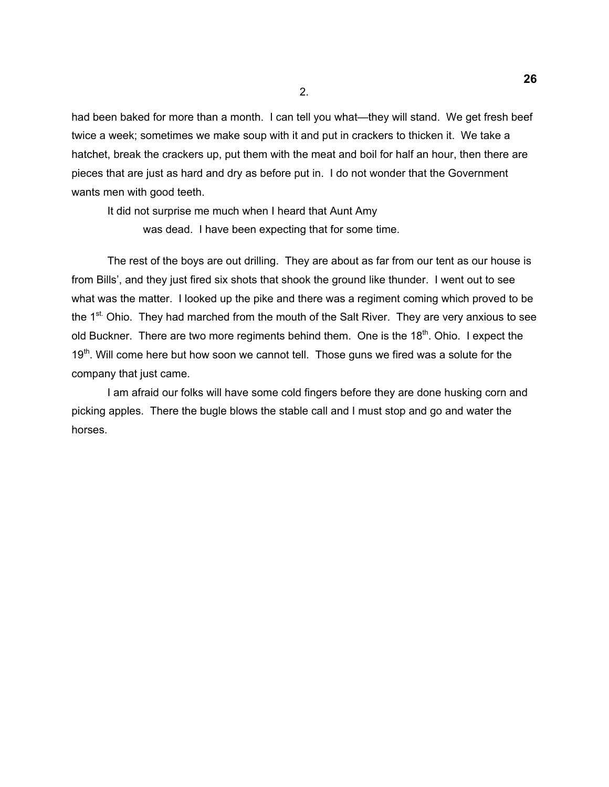had been baked for more than a month. I can tell you what—they will stand. We get fresh beef twice a week; sometimes we make soup with it and put in crackers to thicken it. We take a hatchet, break the crackers up, put them with the meat and boil for half an hour, then there are pieces that are just as hard and dry as before put in. I do not wonder that the Government wants men with good teeth.

 It did not surprise me much when I heard that Aunt Amy was dead. I have been expecting that for some time.

 The rest of the boys are out drilling. They are about as far from our tent as our house is from Bills', and they just fired six shots that shook the ground like thunder. I went out to see what was the matter. I looked up the pike and there was a regiment coming which proved to be the  $1^{st.}$  Ohio. They had marched from the mouth of the Salt River. They are very anxious to see old Buckner. There are two more regiments behind them. One is the 18<sup>th</sup>. Ohio. I expect the  $19<sup>th</sup>$ . Will come here but how soon we cannot tell. Those guns we fired was a solute for the company that just came.

 I am afraid our folks will have some cold fingers before they are done husking corn and picking apples. There the bugle blows the stable call and I must stop and go and water the horses.

**26**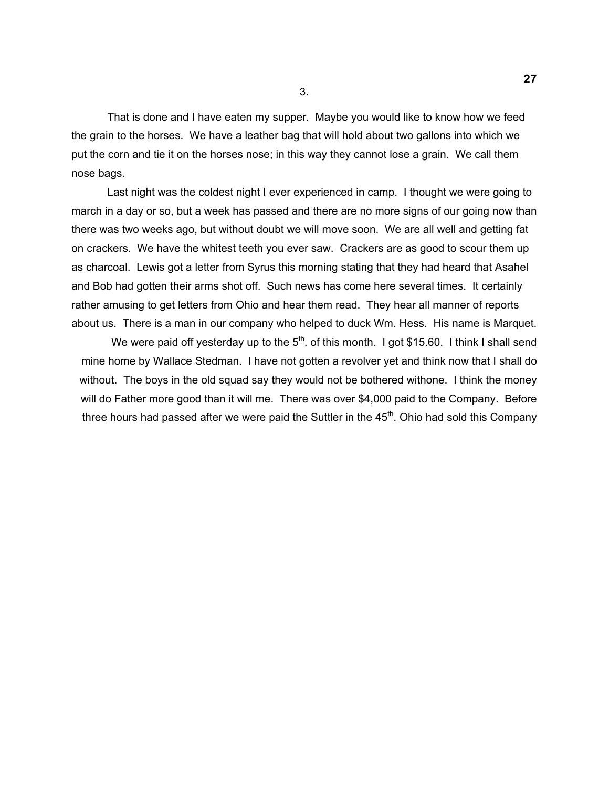That is done and I have eaten my supper. Maybe you would like to know how we feed the grain to the horses. We have a leather bag that will hold about two gallons into which we put the corn and tie it on the horses nose; in this way they cannot lose a grain. We call them nose bags.

 Last night was the coldest night I ever experienced in camp. I thought we were going to march in a day or so, but a week has passed and there are no more signs of our going now than there was two weeks ago, but without doubt we will move soon. We are all well and getting fat on crackers. We have the whitest teeth you ever saw. Crackers are as good to scour them up as charcoal. Lewis got a letter from Syrus this morning stating that they had heard that Asahel and Bob had gotten their arms shot off. Such news has come here several times. It certainly rather amusing to get letters from Ohio and hear them read. They hear all manner of reports about us. There is a man in our company who helped to duck Wm. Hess. His name is Marquet.

We were paid off yesterday up to the  $5<sup>th</sup>$ . of this month. I got \$15.60. I think I shall send mine home by Wallace Stedman. I have not gotten a revolver yet and think now that I shall do without. The boys in the old squad say they would not be bothered withone. I think the money will do Father more good than it will me. There was over \$4,000 paid to the Company. Before three hours had passed after we were paid the Suttler in the  $45<sup>th</sup>$ . Ohio had sold this Company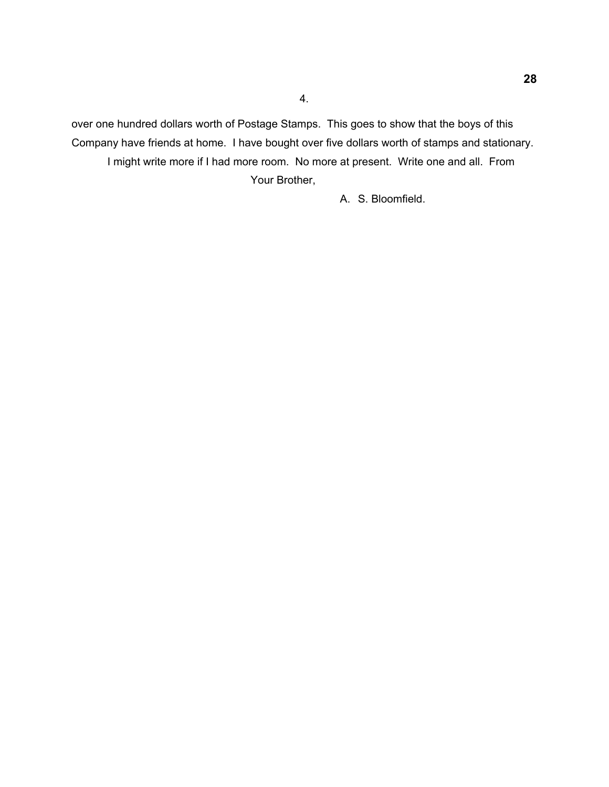over one hundred dollars worth of Postage Stamps. This goes to show that the boys of this Company have friends at home. I have bought over five dollars worth of stamps and stationary. I might write more if I had more room. No more at present. Write one and all. From Your Brother,

4.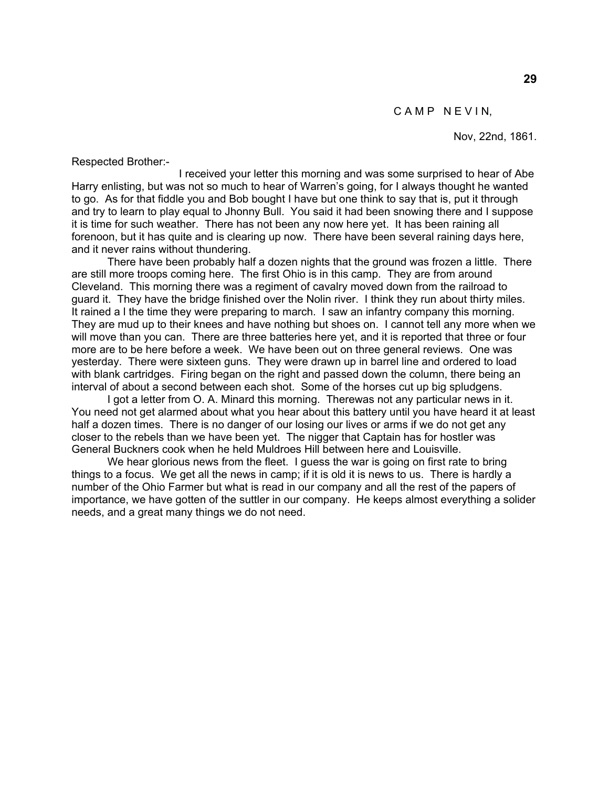CAMP NEVIN,

Nov, 22nd, 1861.

Respected Brother:-

 I received your letter this morning and was some surprised to hear of Abe Harry enlisting, but was not so much to hear of Warren's going, for I always thought he wanted to go. As for that fiddle you and Bob bought I have but one think to say that is, put it through and try to learn to play equal to Jhonny Bull. You said it had been snowing there and I suppose it is time for such weather. There has not been any now here yet. It has been raining all forenoon, but it has quite and is clearing up now. There have been several raining days here, and it never rains without thundering.

 There have been probably half a dozen nights that the ground was frozen a little. There are still more troops coming here. The first Ohio is in this camp. They are from around Cleveland. This morning there was a regiment of cavalry moved down from the railroad to guard it. They have the bridge finished over the Nolin river. I think they run about thirty miles. It rained a l the time they were preparing to march. I saw an infantry company this morning. They are mud up to their knees and have nothing but shoes on. I cannot tell any more when we will move than you can. There are three batteries here yet, and it is reported that three or four more are to be here before a week. We have been out on three general reviews. One was yesterday. There were sixteen guns. They were drawn up in barrel line and ordered to load with blank cartridges. Firing began on the right and passed down the column, there being an interval of about a second between each shot. Some of the horses cut up big spludgens.

 I got a letter from O. A. Minard this morning. Therewas not any particular news in it. You need not get alarmed about what you hear about this battery until you have heard it at least half a dozen times. There is no danger of our losing our lives or arms if we do not get any closer to the rebels than we have been yet. The nigger that Captain has for hostler was General Buckners cook when he held Muldroes Hill between here and Louisville.

We hear glorious news from the fleet. I guess the war is going on first rate to bring things to a focus. We get all the news in camp; if it is old it is news to us. There is hardly a number of the Ohio Farmer but what is read in our company and all the rest of the papers of importance, we have gotten of the suttler in our company. He keeps almost everything a solider needs, and a great many things we do not need.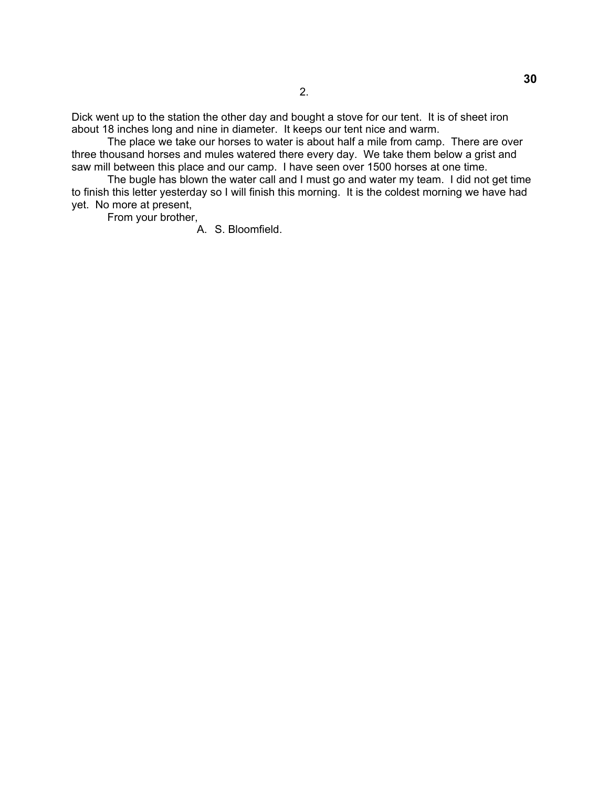Dick went up to the station the other day and bought a stove for our tent. It is of sheet iron about 18 inches long and nine in diameter. It keeps our tent nice and warm.

 The place we take our horses to water is about half a mile from camp. There are over three thousand horses and mules watered there every day. We take them below a grist and saw mill between this place and our camp. I have seen over 1500 horses at one time.

2.

 The bugle has blown the water call and I must go and water my team. I did not get time to finish this letter yesterday so I will finish this morning. It is the coldest morning we have had yet. No more at present,

From your brother,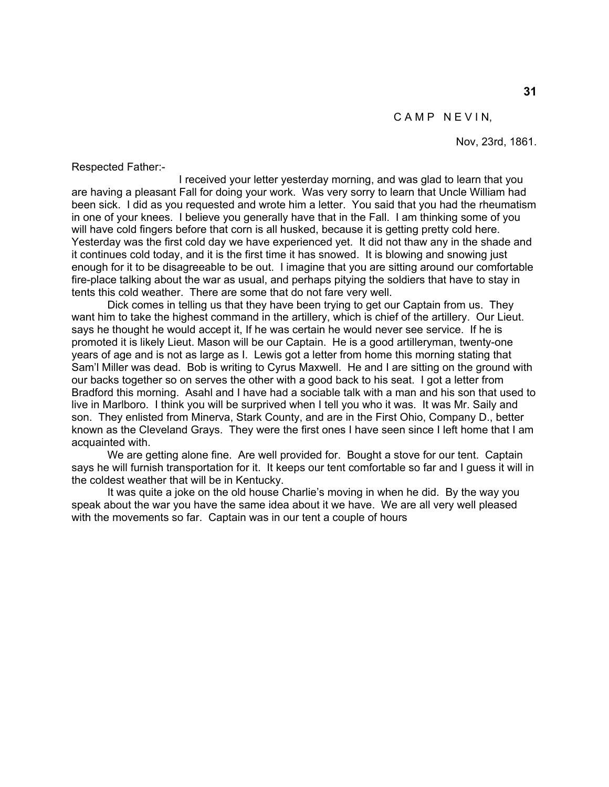Nov, 23rd, 1861.

Respected Father:-

 I received your letter yesterday morning, and was glad to learn that you are having a pleasant Fall for doing your work. Was very sorry to learn that Uncle William had been sick. I did as you requested and wrote him a letter. You said that you had the rheumatism in one of your knees. I believe you generally have that in the Fall. I am thinking some of you will have cold fingers before that corn is all husked, because it is getting pretty cold here. Yesterday was the first cold day we have experienced yet. It did not thaw any in the shade and it continues cold today, and it is the first time it has snowed. It is blowing and snowing just enough for it to be disagreeable to be out. I imagine that you are sitting around our comfortable fire-place talking about the war as usual, and perhaps pitying the soldiers that have to stay in tents this cold weather. There are some that do not fare very well.

 Dick comes in telling us that they have been trying to get our Captain from us. They want him to take the highest command in the artillery, which is chief of the artillery. Our Lieut. says he thought he would accept it, If he was certain he would never see service. If he is promoted it is likely Lieut. Mason will be our Captain. He is a good artilleryman, twenty-one years of age and is not as large as I. Lewis got a letter from home this morning stating that Sam'l Miller was dead. Bob is writing to Cyrus Maxwell. He and I are sitting on the ground with our backs together so on serves the other with a good back to his seat. I got a letter from Bradford this morning. Asahl and I have had a sociable talk with a man and his son that used to live in Marlboro. I think you will be surprived when I tell you who it was. It was Mr. Saily and son. They enlisted from Minerva, Stark County, and are in the First Ohio, Company D., better known as the Cleveland Grays. They were the first ones I have seen since I left home that I am acquainted with.

 We are getting alone fine. Are well provided for. Bought a stove for our tent. Captain says he will furnish transportation for it. It keeps our tent comfortable so far and I guess it will in the coldest weather that will be in Kentucky.

 It was quite a joke on the old house Charlie's moving in when he did. By the way you speak about the war you have the same idea about it we have. We are all very well pleased with the movements so far. Captain was in our tent a couple of hours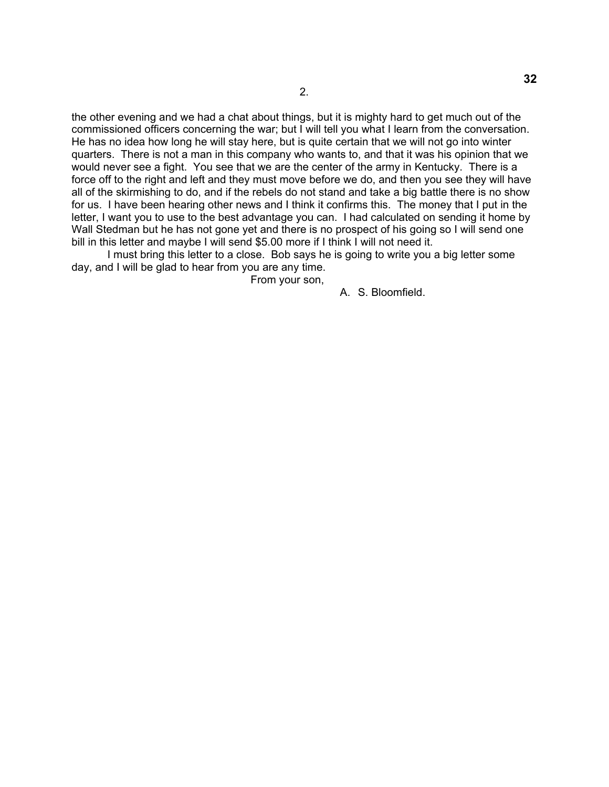the other evening and we had a chat about things, but it is mighty hard to get much out of the commissioned officers concerning the war; but I will tell you what I learn from the conversation. He has no idea how long he will stay here, but is quite certain that we will not go into winter quarters. There is not a man in this company who wants to, and that it was his opinion that we would never see a fight. You see that we are the center of the army in Kentucky. There is a force off to the right and left and they must move before we do, and then you see they will have all of the skirmishing to do, and if the rebels do not stand and take a big battle there is no show for us. I have been hearing other news and I think it confirms this. The money that I put in the letter, I want you to use to the best advantage you can. I had calculated on sending it home by Wall Stedman but he has not gone yet and there is no prospect of his going so I will send one bill in this letter and maybe I will send \$5.00 more if I think I will not need it.

2.

 I must bring this letter to a close. Bob says he is going to write you a big letter some day, and I will be glad to hear from you are any time.

From your son,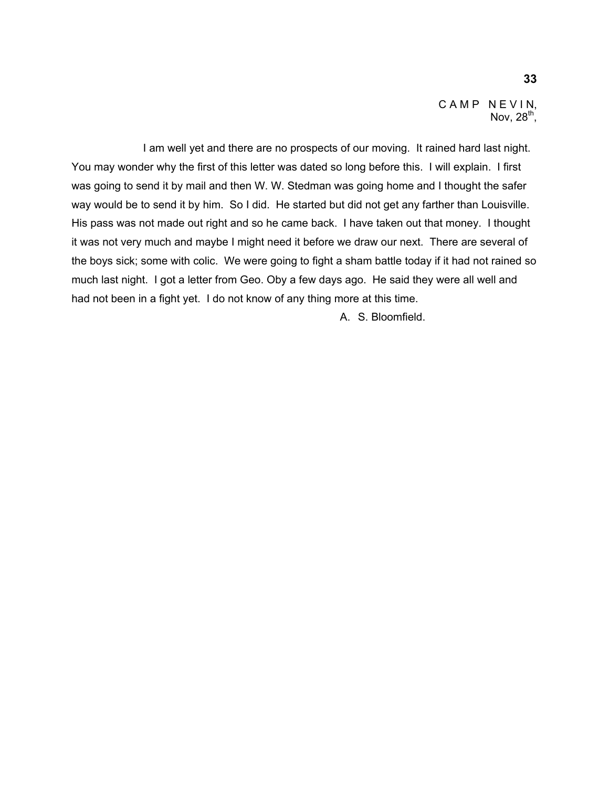CAMP NEVIN, Nov,  $28^{th}$ ,

 I am well yet and there are no prospects of our moving. It rained hard last night. You may wonder why the first of this letter was dated so long before this. I will explain. I first was going to send it by mail and then W. W. Stedman was going home and I thought the safer way would be to send it by him. So I did. He started but did not get any farther than Louisville. His pass was not made out right and so he came back. I have taken out that money. I thought it was not very much and maybe I might need it before we draw our next. There are several of the boys sick; some with colic. We were going to fight a sham battle today if it had not rained so much last night. I got a letter from Geo. Oby a few days ago. He said they were all well and had not been in a fight yet. I do not know of any thing more at this time.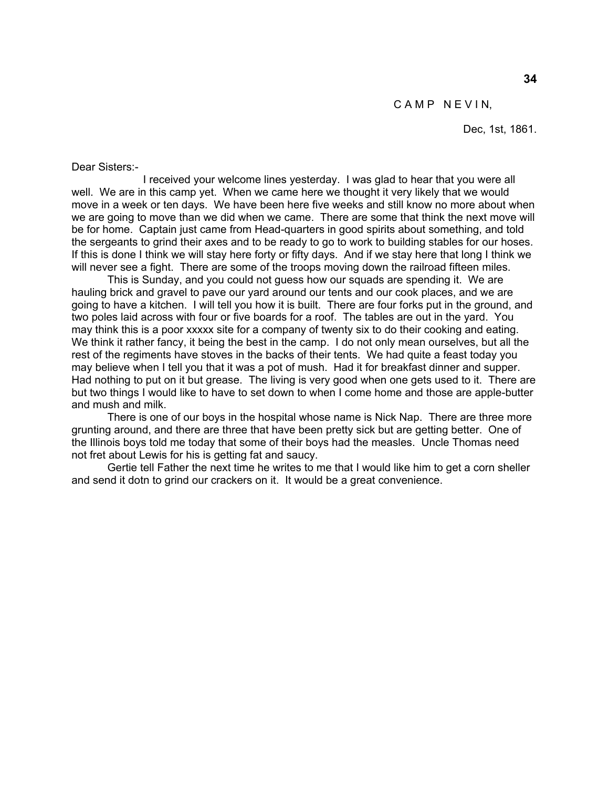Dec, 1st, 1861.

Dear Sisters:-

 I received your welcome lines yesterday. I was glad to hear that you were all well. We are in this camp yet. When we came here we thought it very likely that we would move in a week or ten days. We have been here five weeks and still know no more about when we are going to move than we did when we came. There are some that think the next move will be for home. Captain just came from Head-quarters in good spirits about something, and told the sergeants to grind their axes and to be ready to go to work to building stables for our hoses. If this is done I think we will stay here forty or fifty days. And if we stay here that long I think we will never see a fight. There are some of the troops moving down the railroad fifteen miles.

 This is Sunday, and you could not guess how our squads are spending it. We are hauling brick and gravel to pave our yard around our tents and our cook places, and we are going to have a kitchen. I will tell you how it is built. There are four forks put in the ground, and two poles laid across with four or five boards for a roof. The tables are out in the yard. You may think this is a poor xxxxx site for a company of twenty six to do their cooking and eating. We think it rather fancy, it being the best in the camp. I do not only mean ourselves, but all the rest of the regiments have stoves in the backs of their tents. We had quite a feast today you may believe when I tell you that it was a pot of mush. Had it for breakfast dinner and supper. Had nothing to put on it but grease. The living is very good when one gets used to it. There are but two things I would like to have to set down to when I come home and those are apple-butter and mush and milk.

 There is one of our boys in the hospital whose name is Nick Nap. There are three more grunting around, and there are three that have been pretty sick but are getting better. One of the Illinois boys told me today that some of their boys had the measles. Uncle Thomas need not fret about Lewis for his is getting fat and saucy.

 Gertie tell Father the next time he writes to me that I would like him to get a corn sheller and send it dotn to grind our crackers on it. It would be a great convenience.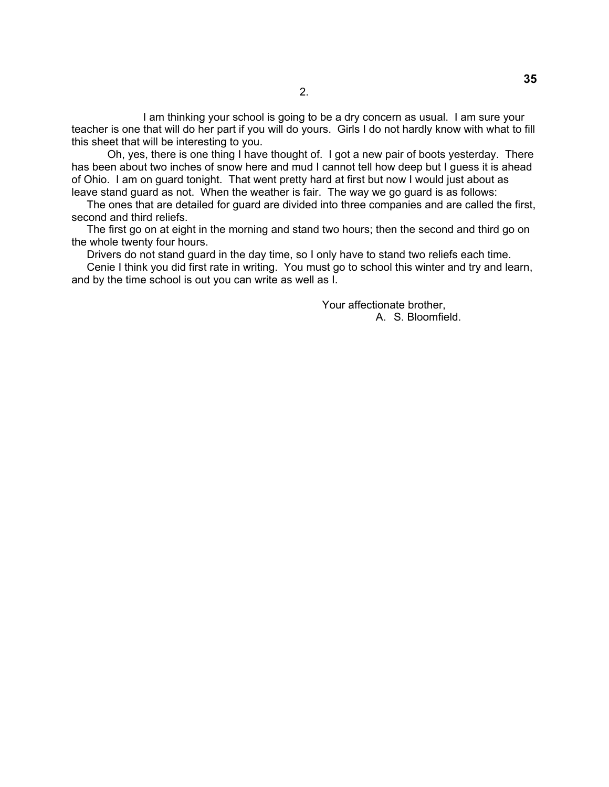I am thinking your school is going to be a dry concern as usual. I am sure your teacher is one that will do her part if you will do yours. Girls I do not hardly know with what to fill this sheet that will be interesting to you.

 Oh, yes, there is one thing I have thought of. I got a new pair of boots yesterday. There has been about two inches of snow here and mud I cannot tell how deep but I guess it is ahead of Ohio. I am on guard tonight. That went pretty hard at first but now I would just about as leave stand guard as not. When the weather is fair. The way we go guard is as follows:

 The ones that are detailed for guard are divided into three companies and are called the first, second and third reliefs.

 The first go on at eight in the morning and stand two hours; then the second and third go on the whole twenty four hours.

Drivers do not stand guard in the day time, so I only have to stand two reliefs each time.

 Cenie I think you did first rate in writing. You must go to school this winter and try and learn, and by the time school is out you can write as well as I.

> Your affectionate brother, A. S. Bloomfield.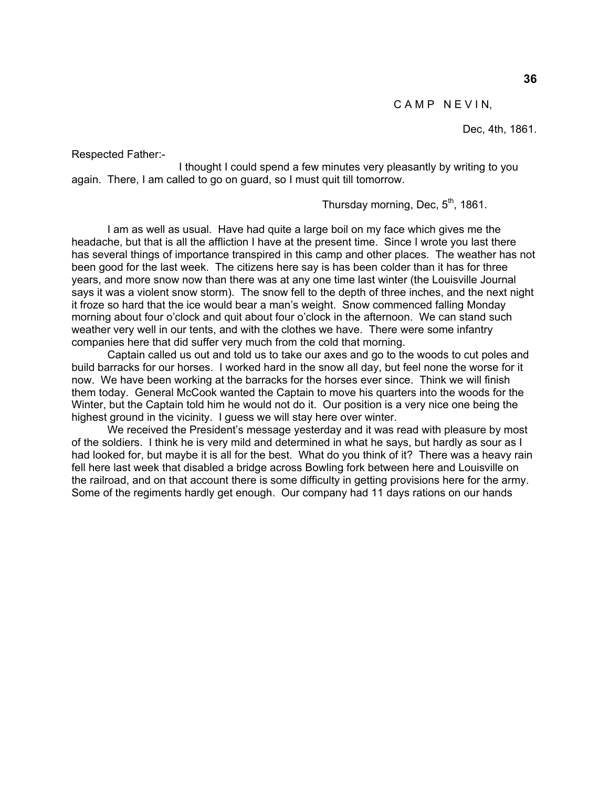CAMP NEVIN,

Dec, 4th, 1861.

Respected Father:-

 I thought I could spend a few minutes very pleasantly by writing to you again. There, I am called to go on guard, so I must quit till tomorrow.

Thursday morning, Dec,  $5<sup>th</sup>$ , 1861.

 I am as well as usual. Have had quite a large boil on my face which gives me the headache, but that is all the affliction I have at the present time. Since I wrote you last there has several things of importance transpired in this camp and other places. The weather has not been good for the last week. The citizens here say is has been colder than it has for three years, and more snow now than there was at any one time last winter (the Louisville Journal says it was a violent snow storm). The snow fell to the depth of three inches, and the next night it froze so hard that the ice would bear a man's weight. Snow commenced falling Monday morning about four o'clock and quit about four o'clock in the afternoon. We can stand such weather very well in our tents, and with the clothes we have. There were some infantry companies here that did suffer very much from the cold that morning.

 Captain called us out and told us to take our axes and go to the woods to cut poles and build barracks for our horses. I worked hard in the snow all day, but feel none the worse for it now. We have been working at the barracks for the horses ever since. Think we will finish them today. General McCook wanted the Captain to move his quarters into the woods for the Winter, but the Captain told him he would not do it. Our position is a very nice one being the highest ground in the vicinity. I guess we will stay here over winter.

 We received the President's message yesterday and it was read with pleasure by most of the soldiers. I think he is very mild and determined in what he says, but hardly as sour as I had looked for, but maybe it is all for the best. What do you think of it? There was a heavy rain fell here last week that disabled a bridge across Bowling fork between here and Louisville on the railroad, and on that account there is some difficulty in getting provisions here for the army. Some of the regiments hardly get enough. Our company had 11 days rations on our hands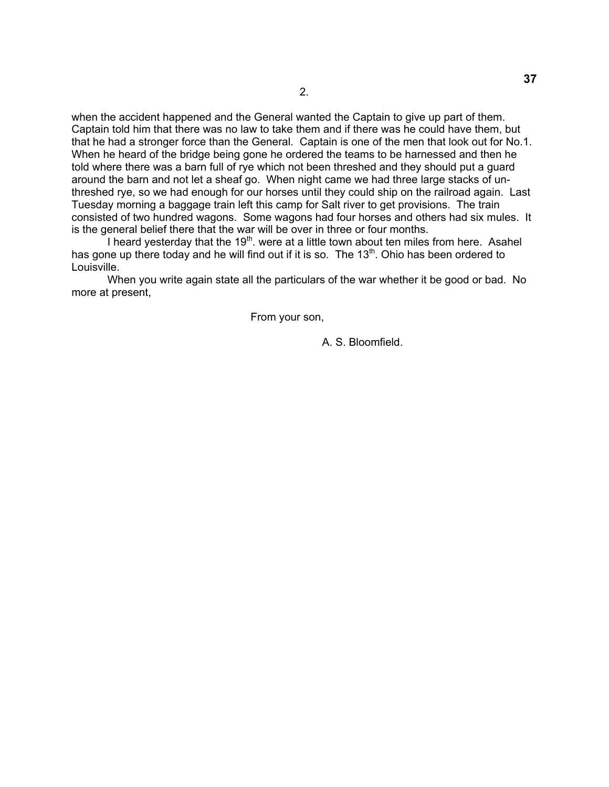when the accident happened and the General wanted the Captain to give up part of them. Captain told him that there was no law to take them and if there was he could have them, but that he had a stronger force than the General. Captain is one of the men that look out for No.1. When he heard of the bridge being gone he ordered the teams to be harnessed and then he told where there was a barn full of rye which not been threshed and they should put a guard around the barn and not let a sheaf go. When night came we had three large stacks of unthreshed rye, so we had enough for our horses until they could ship on the railroad again. Last Tuesday morning a baggage train left this camp for Salt river to get provisions. The train consisted of two hundred wagons. Some wagons had four horses and others had six mules. It is the general belief there that the war will be over in three or four months.

I heard yesterday that the 19<sup>th</sup>. were at a little town about ten miles from here. Asahel has gone up there today and he will find out if it is so. The 13<sup>th</sup>. Ohio has been ordered to Louisville.

 When you write again state all the particulars of the war whether it be good or bad. No more at present,

From your son,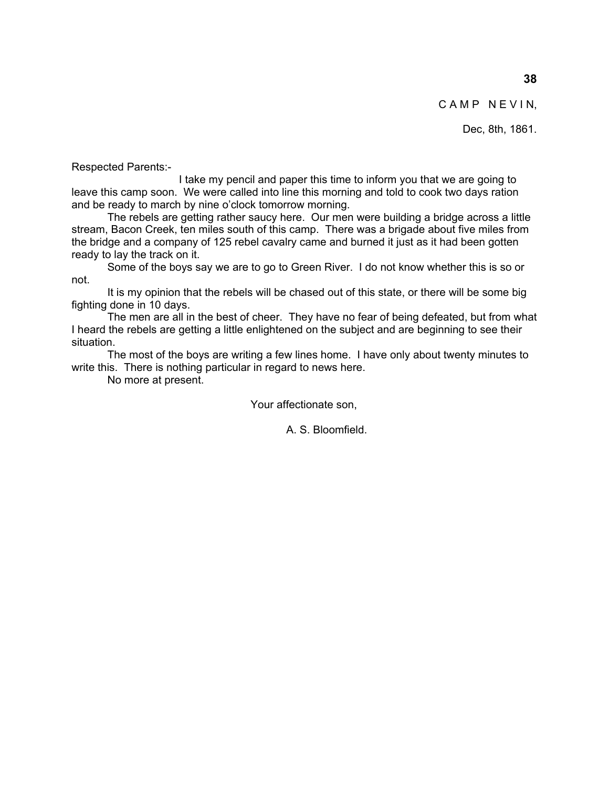# CAMP NEVIN,

Dec, 8th, 1861.

Respected Parents:-

 I take my pencil and paper this time to inform you that we are going to leave this camp soon. We were called into line this morning and told to cook two days ration and be ready to march by nine o'clock tomorrow morning.

 The rebels are getting rather saucy here. Our men were building a bridge across a little stream, Bacon Creek, ten miles south of this camp. There was a brigade about five miles from the bridge and a company of 125 rebel cavalry came and burned it just as it had been gotten ready to lay the track on it.

 Some of the boys say we are to go to Green River. I do not know whether this is so or not.

 It is my opinion that the rebels will be chased out of this state, or there will be some big fighting done in 10 days.

 The men are all in the best of cheer. They have no fear of being defeated, but from what I heard the rebels are getting a little enlightened on the subject and are beginning to see their situation.

 The most of the boys are writing a few lines home. I have only about twenty minutes to write this. There is nothing particular in regard to news here.

No more at present.

Your affectionate son,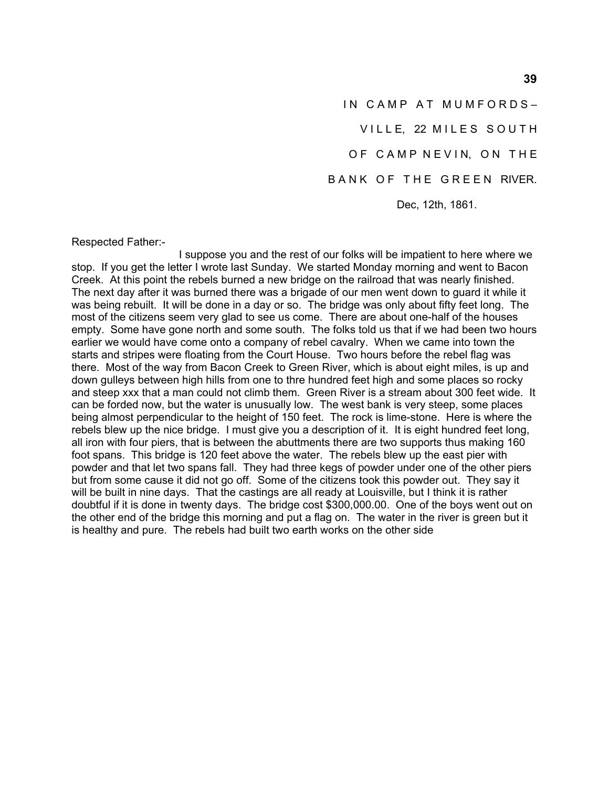IN CAMP AT MUMFORDS-VILLE, 22 MILES SOUTH OF CAMP NEVIN, ON THE BANK OF THE GREEN RIVER.

Dec, 12th, 1861.

Respected Father:-

 I suppose you and the rest of our folks will be impatient to here where we stop. If you get the letter I wrote last Sunday. We started Monday morning and went to Bacon Creek. At this point the rebels burned a new bridge on the railroad that was nearly finished. The next day after it was burned there was a brigade of our men went down to guard it while it was being rebuilt. It will be done in a day or so. The bridge was only about fifty feet long. The most of the citizens seem very glad to see us come. There are about one-half of the houses empty. Some have gone north and some south. The folks told us that if we had been two hours earlier we would have come onto a company of rebel cavalry. When we came into town the starts and stripes were floating from the Court House. Two hours before the rebel flag was there. Most of the way from Bacon Creek to Green River, which is about eight miles, is up and down gulleys between high hills from one to thre hundred feet high and some places so rocky and steep xxx that a man could not climb them. Green River is a stream about 300 feet wide. It can be forded now, but the water is unusually low. The west bank is very steep, some places being almost perpendicular to the height of 150 feet. The rock is lime-stone. Here is where the rebels blew up the nice bridge. I must give you a description of it. It is eight hundred feet long, all iron with four piers, that is between the abuttments there are two supports thus making 160 foot spans. This bridge is 120 feet above the water. The rebels blew up the east pier with powder and that let two spans fall. They had three kegs of powder under one of the other piers but from some cause it did not go off. Some of the citizens took this powder out. They say it will be built in nine days. That the castings are all ready at Louisville, but I think it is rather doubtful if it is done in twenty days. The bridge cost \$300,000.00. One of the boys went out on the other end of the bridge this morning and put a flag on. The water in the river is green but it is healthy and pure. The rebels had built two earth works on the other side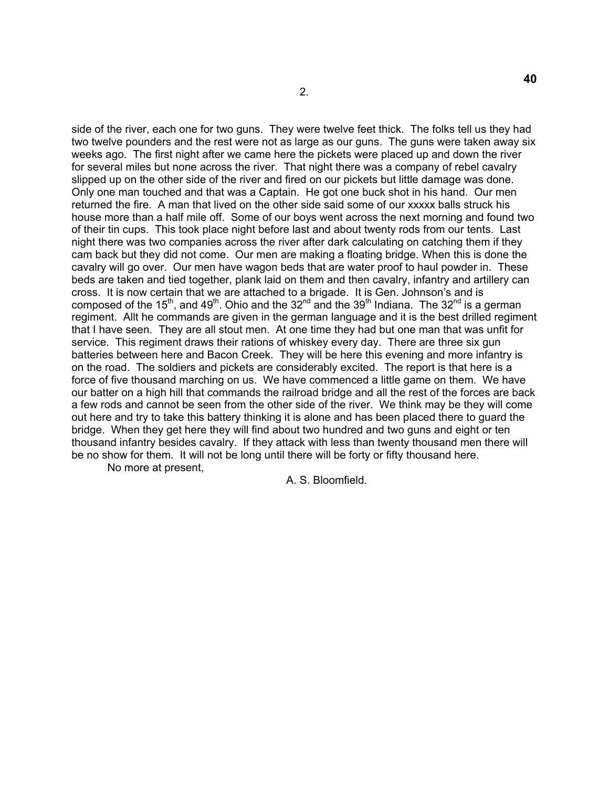side of the river, each one for two guns. They were twelve feet thick. The folks tell us they had two twelve pounders and the rest were not as large as our guns. The guns were taken away six weeks ago. The first night after we came here the pickets were placed up and down the river for several miles but none across the river. That night there was a company of rebel cavalry slipped up on the other side of the river and fired on our pickets but little damage was done. Only one man touched and that was a Captain. He got one buck shot in his hand. Our men returned the fire. A man that lived on the other side said some of our xxxxx balls struck his house more than a half mile off. Some of our boys went across the next morning and found two of their tin cups. This took place night before last and about twenty rods from our tents. Last night there was two companies across the river after dark calculating on catching them if they cam back but they did not come. Our men are making a floating bridge. When this is done the cavalry will go over. Our men have wagon beds that are water proof to haul powder in. These beds are taken and tied together, plank laid on them and then cavalry, infantry and artillery can cross. It is now certain that we are attached to a brigade. It is Gen. Johnson's and is composed of the 15<sup>th</sup>, and 49<sup>th</sup>. Ohio and the 32<sup>nd</sup> and the 39<sup>th</sup> Indiana. The 32<sup>nd</sup> is a german regiment. Allt he commands are given in the german language and it is the best drilled regiment that I have seen. They are all stout men. At one time they had but one man that was unfit for service. This regiment draws their rations of whiskey every day. There are three six gun batteries between here and Bacon Creek. They will be here this evening and more infantry is on the road. The soldiers and pickets are considerably excited. The report is that here is a force of five thousand marching on us. We have commenced a little game on them. We have our batter on a high hill that commands the railroad bridge and all the rest of the forces are back a few rods and cannot be seen from the other side of the river. We think may be they will come out here and try to take this battery thinking it is alone and has been placed there to guard the bridge. When they get here they will find about two hundred and two guns and eight or ten thousand infantry besides cavalry. If they attack with less than twenty thousand men there will be no show for them. It will not be long until there will be forty or fifty thousand here.

No more at present,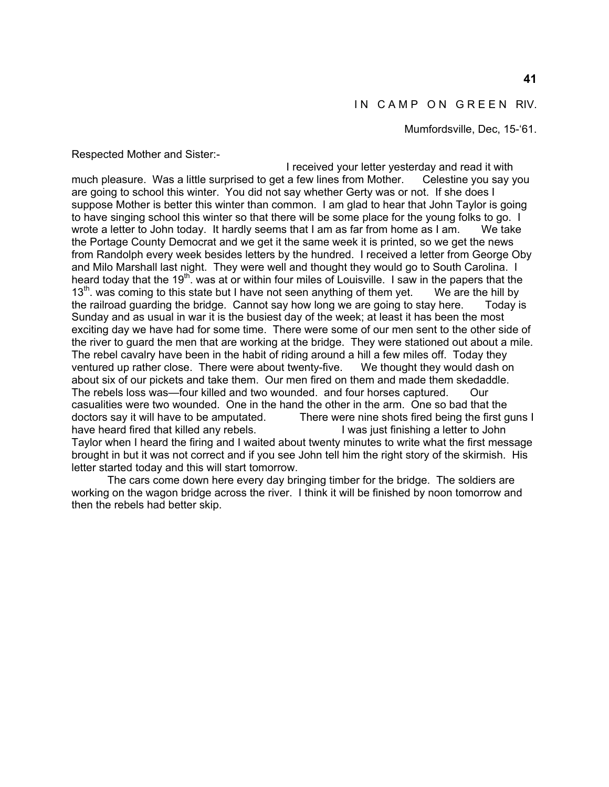Mumfordsville, Dec, 15-'61.

Respected Mother and Sister:-

 I received your letter yesterday and read it with much pleasure. Was a little surprised to get a few lines from Mother. Celestine you say you are going to school this winter. You did not say whether Gerty was or not. If she does I suppose Mother is better this winter than common. I am glad to hear that John Taylor is going to have singing school this winter so that there will be some place for the young folks to go. I wrote a letter to John today. It hardly seems that I am as far from home as I am. We take the Portage County Democrat and we get it the same week it is printed, so we get the news from Randolph every week besides letters by the hundred. I received a letter from George Oby and Milo Marshall last night. They were well and thought they would go to South Carolina. I heard today that the 19<sup>th</sup>, was at or within four miles of Louisville. I saw in the papers that the  $13<sup>th</sup>$ . was coming to this state but I have not seen anything of them yet. We are the hill by the railroad guarding the bridge. Cannot say how long we are going to stay here. Today is Sunday and as usual in war it is the busiest day of the week; at least it has been the most exciting day we have had for some time. There were some of our men sent to the other side of the river to guard the men that are working at the bridge. They were stationed out about a mile. The rebel cavalry have been in the habit of riding around a hill a few miles off. Today they ventured up rather close. There were about twenty-five. We thought they would dash on about six of our pickets and take them. Our men fired on them and made them skedaddle. The rebels loss was—four killed and two wounded. and four horses captured. Our casualities were two wounded. One in the hand the other in the arm. One so bad that the doctors say it will have to be amputated. There were nine shots fired being the first guns I have heard fired that killed any rebels. I was just finishing a letter to John Taylor when I heard the firing and I waited about twenty minutes to write what the first message brought in but it was not correct and if you see John tell him the right story of the skirmish. His letter started today and this will start tomorrow.

 The cars come down here every day bringing timber for the bridge. The soldiers are working on the wagon bridge across the river. I think it will be finished by noon tomorrow and then the rebels had better skip.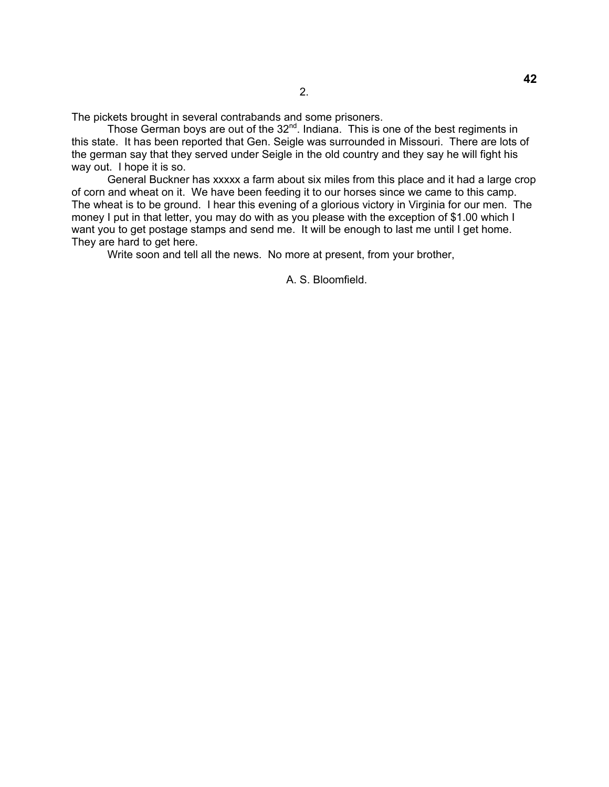The pickets brought in several contrabands and some prisoners.

Those German boys are out of the  $32<sup>nd</sup>$ . Indiana. This is one of the best regiments in this state. It has been reported that Gen. Seigle was surrounded in Missouri. There are lots of the german say that they served under Seigle in the old country and they say he will fight his way out. I hope it is so.

 General Buckner has xxxxx a farm about six miles from this place and it had a large crop of corn and wheat on it. We have been feeding it to our horses since we came to this camp. The wheat is to be ground. I hear this evening of a glorious victory in Virginia for our men. The money I put in that letter, you may do with as you please with the exception of \$1.00 which I want you to get postage stamps and send me. It will be enough to last me until I get home. They are hard to get here.

Write soon and tell all the news. No more at present, from your brother,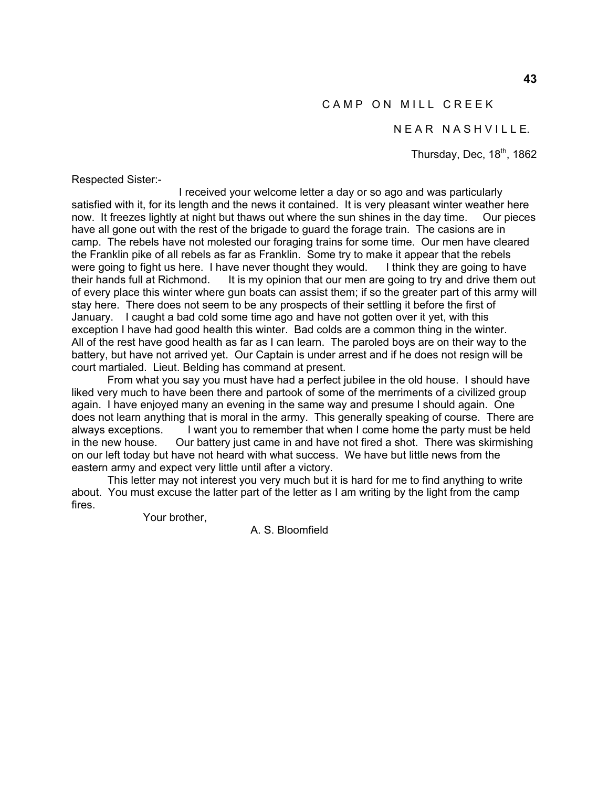# NEAR NASHVILLE.

Thursday, Dec,  $18<sup>th</sup>$ , 1862

Respected Sister:-

 I received your welcome letter a day or so ago and was particularly satisfied with it, for its length and the news it contained. It is very pleasant winter weather here now. It freezes lightly at night but thaws out where the sun shines in the day time. Our pieces have all gone out with the rest of the brigade to guard the forage train. The casions are in camp. The rebels have not molested our foraging trains for some time. Our men have cleared the Franklin pike of all rebels as far as Franklin. Some try to make it appear that the rebels were going to fight us here. I have never thought they would. I think they are going to have their hands full at Richmond. It is my opinion that our men are going to try and drive them out of every place this winter where gun boats can assist them; if so the greater part of this army will stay here. There does not seem to be any prospects of their settling it before the first of January. I caught a bad cold some time ago and have not gotten over it yet, with this exception I have had good health this winter. Bad colds are a common thing in the winter. All of the rest have good health as far as I can learn. The paroled boys are on their way to the battery, but have not arrived yet. Our Captain is under arrest and if he does not resign will be court martialed. Lieut. Belding has command at present.

 From what you say you must have had a perfect jubilee in the old house. I should have liked very much to have been there and partook of some of the merriments of a civilized group again. I have enjoyed many an evening in the same way and presume I should again. One does not learn anything that is moral in the army. This generally speaking of course. There are always exceptions. I want you to remember that when I come home the party must be held in the new house. Our battery just came in and have not fired a shot. There was skirmishing on our left today but have not heard with what success. We have but little news from the eastern army and expect very little until after a victory.

 This letter may not interest you very much but it is hard for me to find anything to write about. You must excuse the latter part of the letter as I am writing by the light from the camp fires.

Your brother,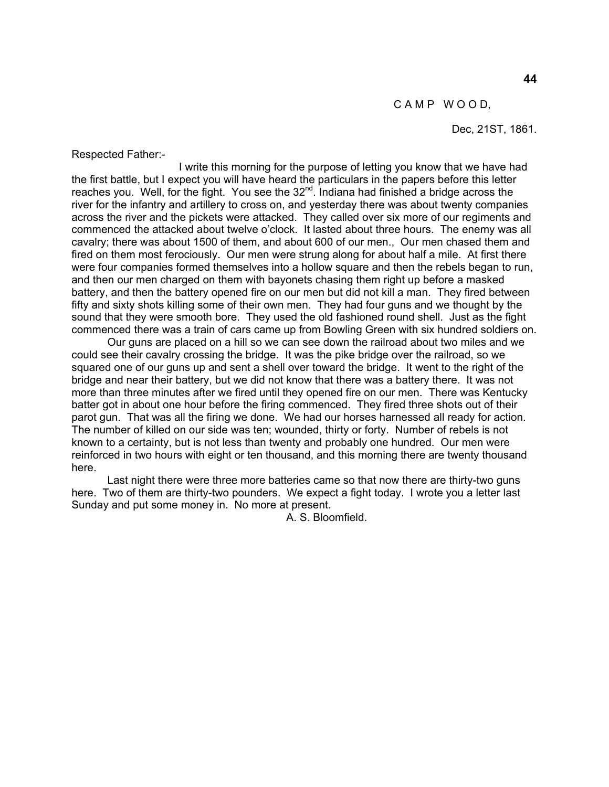#### Dec, 21ST, 1861.

Respected Father:-

 I write this morning for the purpose of letting you know that we have had the first battle, but I expect you will have heard the particulars in the papers before this letter reaches you. Well, for the fight. You see the  $32<sup>nd</sup>$ . Indiana had finished a bridge across the river for the infantry and artillery to cross on, and yesterday there was about twenty companies across the river and the pickets were attacked. They called over six more of our regiments and commenced the attacked about twelve o'clock. It lasted about three hours. The enemy was all cavalry; there was about 1500 of them, and about 600 of our men., Our men chased them and fired on them most ferociously. Our men were strung along for about half a mile. At first there were four companies formed themselves into a hollow square and then the rebels began to run, and then our men charged on them with bayonets chasing them right up before a masked battery, and then the battery opened fire on our men but did not kill a man. They fired between fifty and sixty shots killing some of their own men. They had four guns and we thought by the sound that they were smooth bore. They used the old fashioned round shell. Just as the fight commenced there was a train of cars came up from Bowling Green with six hundred soldiers on.

 Our guns are placed on a hill so we can see down the railroad about two miles and we could see their cavalry crossing the bridge. It was the pike bridge over the railroad, so we squared one of our guns up and sent a shell over toward the bridge. It went to the right of the bridge and near their battery, but we did not know that there was a battery there. It was not more than three minutes after we fired until they opened fire on our men. There was Kentucky batter got in about one hour before the firing commenced. They fired three shots out of their parot gun. That was all the firing we done. We had our horses harnessed all ready for action. The number of killed on our side was ten; wounded, thirty or forty. Number of rebels is not known to a certainty, but is not less than twenty and probably one hundred. Our men were reinforced in two hours with eight or ten thousand, and this morning there are twenty thousand here.

 Last night there were three more batteries came so that now there are thirty-two guns here. Two of them are thirty-two pounders. We expect a fight today. I wrote you a letter last Sunday and put some money in. No more at present.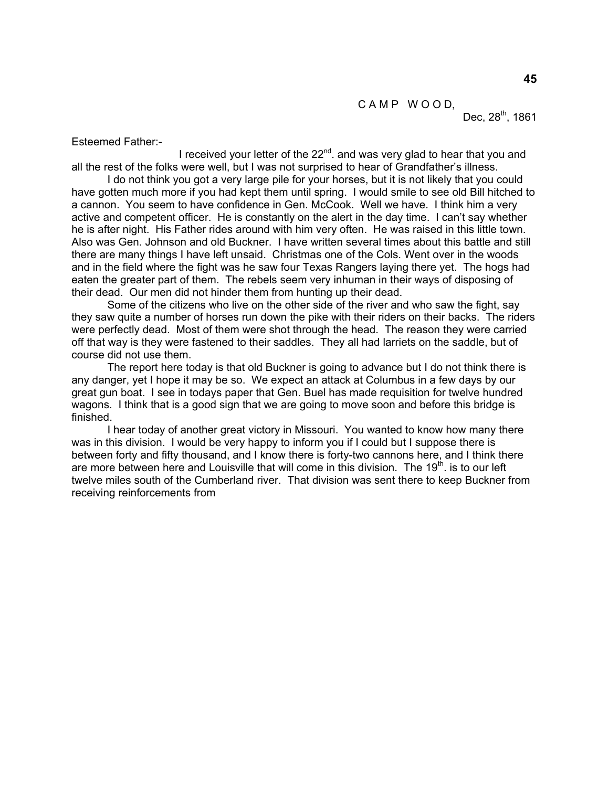Dec,  $28^{th}$ , 1861

Esteemed Father:-

I received your letter of the  $22<sup>nd</sup>$ . and was very glad to hear that you and all the rest of the folks were well, but I was not surprised to hear of Grandfather's illness.

 I do not think you got a very large pile for your horses, but it is not likely that you could have gotten much more if you had kept them until spring. I would smile to see old Bill hitched to a cannon. You seem to have confidence in Gen. McCook. Well we have. I think him a very active and competent officer. He is constantly on the alert in the day time. I can't say whether he is after night. His Father rides around with him very often. He was raised in this little town. Also was Gen. Johnson and old Buckner. I have written several times about this battle and still there are many things I have left unsaid. Christmas one of the Cols. Went over in the woods and in the field where the fight was he saw four Texas Rangers laying there yet. The hogs had eaten the greater part of them. The rebels seem very inhuman in their ways of disposing of their dead. Our men did not hinder them from hunting up their dead.

 Some of the citizens who live on the other side of the river and who saw the fight, say they saw quite a number of horses run down the pike with their riders on their backs. The riders were perfectly dead. Most of them were shot through the head. The reason they were carried off that way is they were fastened to their saddles. They all had larriets on the saddle, but of course did not use them.

 The report here today is that old Buckner is going to advance but I do not think there is any danger, yet I hope it may be so. We expect an attack at Columbus in a few days by our great gun boat. I see in todays paper that Gen. Buel has made requisition for twelve hundred wagons. I think that is a good sign that we are going to move soon and before this bridge is finished.

 I hear today of another great victory in Missouri. You wanted to know how many there was in this division. I would be very happy to inform you if I could but I suppose there is between forty and fifty thousand, and I know there is forty-two cannons here, and I think there are more between here and Louisville that will come in this division. The 19<sup>th</sup>, is to our left twelve miles south of the Cumberland river. That division was sent there to keep Buckner from receiving reinforcements from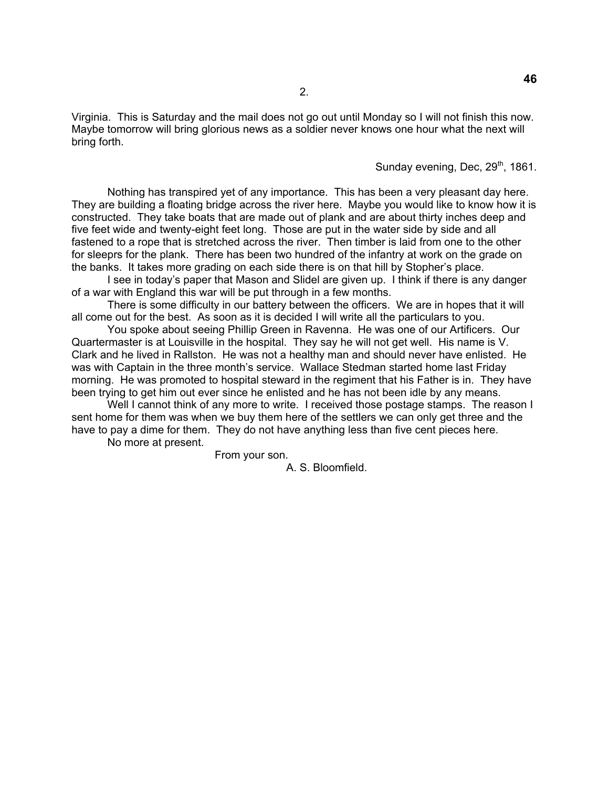Virginia. This is Saturday and the mail does not go out until Monday so I will not finish this now. Maybe tomorrow will bring glorious news as a soldier never knows one hour what the next will bring forth.

Sunday evening, Dec,  $29<sup>th</sup>$ , 1861.

 Nothing has transpired yet of any importance. This has been a very pleasant day here. They are building a floating bridge across the river here. Maybe you would like to know how it is constructed. They take boats that are made out of plank and are about thirty inches deep and five feet wide and twenty-eight feet long. Those are put in the water side by side and all fastened to a rope that is stretched across the river. Then timber is laid from one to the other for sleeprs for the plank. There has been two hundred of the infantry at work on the grade on the banks. It takes more grading on each side there is on that hill by Stopher's place.

 I see in today's paper that Mason and Slidel are given up. I think if there is any danger of a war with England this war will be put through in a few months.

 There is some difficulty in our battery between the officers. We are in hopes that it will all come out for the best. As soon as it is decided I will write all the particulars to you.

 You spoke about seeing Phillip Green in Ravenna. He was one of our Artificers. Our Quartermaster is at Louisville in the hospital. They say he will not get well. His name is V. Clark and he lived in Rallston. He was not a healthy man and should never have enlisted. He was with Captain in the three month's service. Wallace Stedman started home last Friday morning. He was promoted to hospital steward in the regiment that his Father is in. They have been trying to get him out ever since he enlisted and he has not been idle by any means.

Well I cannot think of any more to write. I received those postage stamps. The reason I sent home for them was when we buy them here of the settlers we can only get three and the have to pay a dime for them. They do not have anything less than five cent pieces here.

No more at present.

From your son.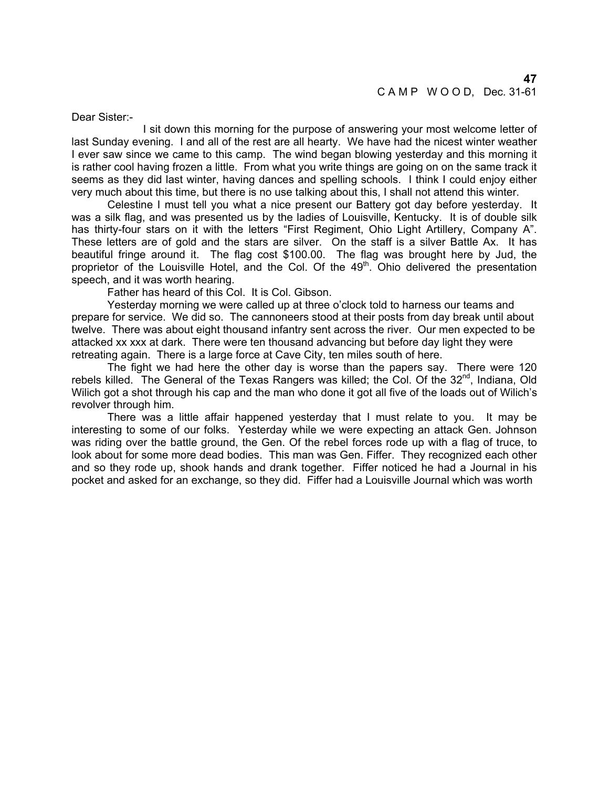Dear Sister:-

 I sit down this morning for the purpose of answering your most welcome letter of last Sunday evening. I and all of the rest are all hearty. We have had the nicest winter weather I ever saw since we came to this camp. The wind began blowing yesterday and this morning it is rather cool having frozen a little. From what you write things are going on on the same track it seems as they did last winter, having dances and spelling schools. I think I could enjoy either very much about this time, but there is no use talking about this, I shall not attend this winter.

 Celestine I must tell you what a nice present our Battery got day before yesterday. It was a silk flag, and was presented us by the ladies of Louisville, Kentucky. It is of double silk has thirty-four stars on it with the letters "First Regiment, Ohio Light Artillery, Company A". These letters are of gold and the stars are silver. On the staff is a silver Battle Ax. It has beautiful fringe around it. The flag cost \$100.00. The flag was brought here by Jud, the proprietor of the Louisville Hotel, and the Col. Of the 49<sup>th</sup>. Ohio delivered the presentation speech, and it was worth hearing.

Father has heard of this Col. It is Col. Gibson.

 Yesterday morning we were called up at three o'clock told to harness our teams and prepare for service. We did so. The cannoneers stood at their posts from day break until about twelve. There was about eight thousand infantry sent across the river. Our men expected to be attacked xx xxx at dark. There were ten thousand advancing but before day light they were retreating again. There is a large force at Cave City, ten miles south of here.

 The fight we had here the other day is worse than the papers say. There were 120 rebels killed. The General of the Texas Rangers was killed; the Col. Of the 32<sup>nd</sup>, Indiana, Old Wilich got a shot through his cap and the man who done it got all five of the loads out of Wilich's revolver through him.

 There was a little affair happened yesterday that I must relate to you. It may be interesting to some of our folks. Yesterday while we were expecting an attack Gen. Johnson was riding over the battle ground, the Gen. Of the rebel forces rode up with a flag of truce, to look about for some more dead bodies. This man was Gen. Fiffer. They recognized each other and so they rode up, shook hands and drank together. Fiffer noticed he had a Journal in his pocket and asked for an exchange, so they did. Fiffer had a Louisville Journal which was worth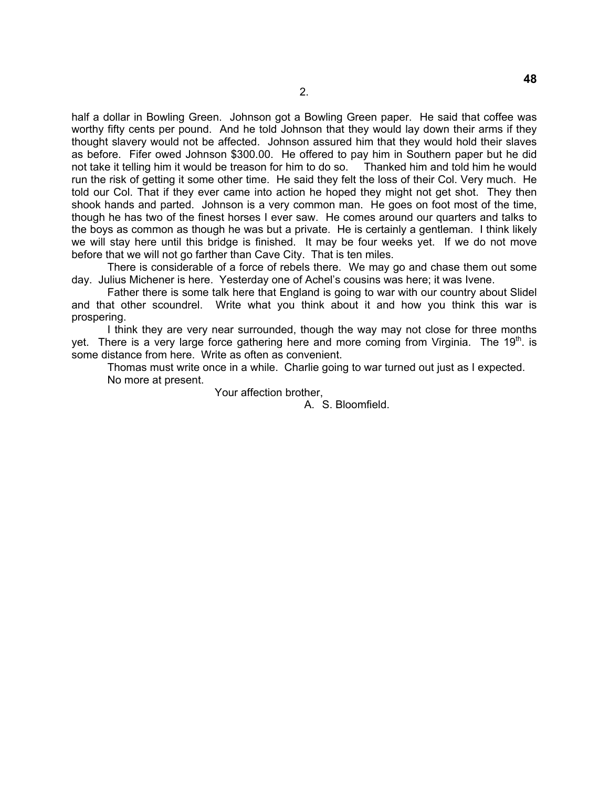half a dollar in Bowling Green. Johnson got a Bowling Green paper. He said that coffee was worthy fifty cents per pound. And he told Johnson that they would lay down their arms if they thought slavery would not be affected. Johnson assured him that they would hold their slaves as before. Fifer owed Johnson \$300.00. He offered to pay him in Southern paper but he did not take it telling him it would be treason for him to do so. Thanked him and told him he would run the risk of getting it some other time. He said they felt the loss of their Col. Very much. He told our Col. That if they ever came into action he hoped they might not get shot. They then shook hands and parted. Johnson is a very common man. He goes on foot most of the time, though he has two of the finest horses I ever saw. He comes around our quarters and talks to the boys as common as though he was but a private. He is certainly a gentleman. I think likely we will stay here until this bridge is finished. It may be four weeks yet. If we do not move before that we will not go farther than Cave City. That is ten miles.

 There is considerable of a force of rebels there. We may go and chase them out some day. Julius Michener is here. Yesterday one of Achel's cousins was here; it was Ivene.

 Father there is some talk here that England is going to war with our country about Slidel and that other scoundrel. Write what you think about it and how you think this war is prospering.

 I think they are very near surrounded, though the way may not close for three months yet. There is a very large force gathering here and more coming from Virginia. The 19<sup>th</sup>. is some distance from here. Write as often as convenient.

 Thomas must write once in a while. Charlie going to war turned out just as I expected. No more at present.

Your affection brother,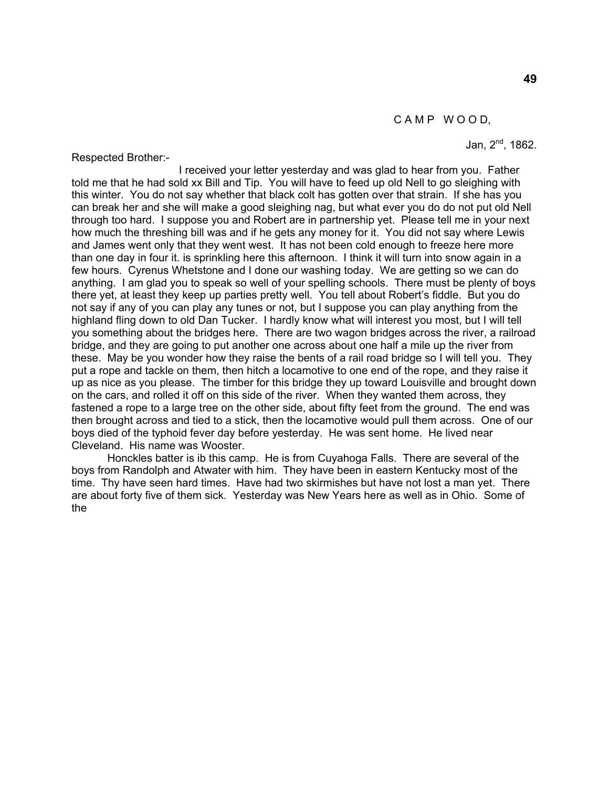Jan, 2<sup>nd</sup>, 1862.

Respected Brother:-

 I received your letter yesterday and was glad to hear from you. Father told me that he had sold xx Bill and Tip. You will have to feed up old Nell to go sleighing with this winter. You do not say whether that black colt has gotten over that strain. If she has you can break her and she will make a good sleighing nag, but what ever you do do not put old Nell through too hard. I suppose you and Robert are in partnership yet. Please tell me in your next how much the threshing bill was and if he gets any money for it. You did not say where Lewis and James went only that they went west. It has not been cold enough to freeze here more than one day in four it. is sprinkling here this afternoon. I think it will turn into snow again in a few hours. Cyrenus Whetstone and I done our washing today. We are getting so we can do anything. I am glad you to speak so well of your spelling schools. There must be plenty of boys there yet, at least they keep up parties pretty well. You tell about Robert's fiddle. But you do not say if any of you can play any tunes or not, but I suppose you can play anything from the highland fling down to old Dan Tucker. I hardly know what will interest you most, but I will tell you something about the bridges here. There are two wagon bridges across the river, a railroad bridge, and they are going to put another one across about one half a mile up the river from these. May be you wonder how they raise the bents of a rail road bridge so I will tell you. They put a rope and tackle on them, then hitch a locamotive to one end of the rope, and they raise it up as nice as you please. The timber for this bridge they up toward Louisville and brought down on the cars, and rolled it off on this side of the river. When they wanted them across, they fastened a rope to a large tree on the other side, about fifty feet from the ground. The end was then brought across and tied to a stick, then the locamotive would pull them across. One of our boys died of the typhoid fever day before yesterday. He was sent home. He lived near Cleveland. His name was Wooster.

 Honckles batter is ib this camp. He is from Cuyahoga Falls. There are several of the boys from Randolph and Atwater with him. They have been in eastern Kentucky most of the time. Thy have seen hard times. Have had two skirmishes but have not lost a man yet. There are about forty five of them sick. Yesterday was New Years here as well as in Ohio. Some of the